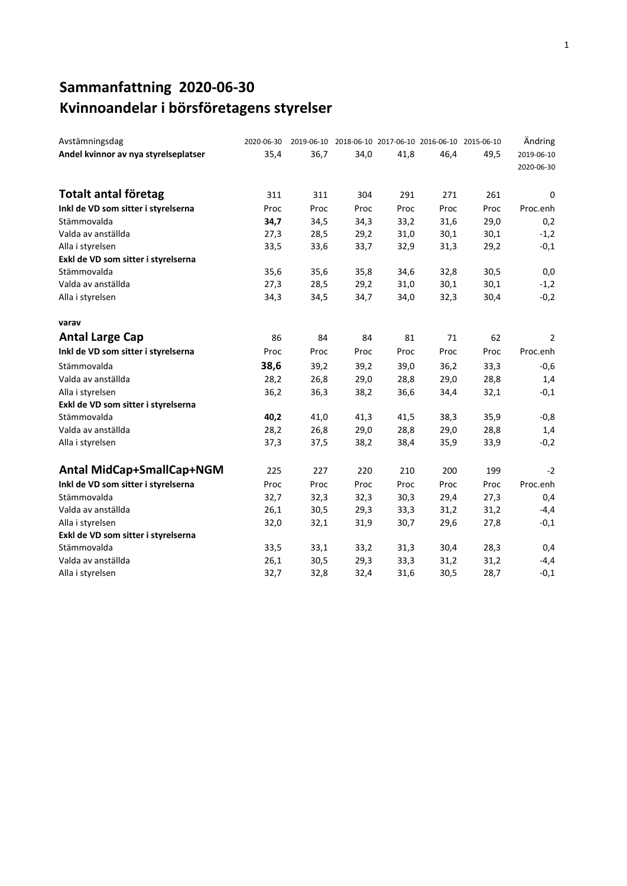### **Sammanfattning 2020-06-30 Kvinnoandelar i börsföretagens styrelser**

| Avstämningsdag                       | 2020-06-30 |      | 2019-06-10 2018-06-10 2017-06-10 2016-06-10 2015-06-10 |      |      |      | Ändring                  |
|--------------------------------------|------------|------|--------------------------------------------------------|------|------|------|--------------------------|
| Andel kvinnor av nya styrelseplatser | 35,4       | 36,7 | 34,0                                                   | 41,8 | 46,4 | 49,5 | 2019-06-10<br>2020-06-30 |
| <b>Totalt antal företag</b>          | 311        | 311  | 304                                                    | 291  | 271  | 261  | 0                        |
| Inkl de VD som sitter i styrelserna  | Proc       | Proc | Proc                                                   | Proc | Proc | Proc | Proc.enh                 |
| Stämmovalda                          | 34,7       | 34,5 | 34,3                                                   | 33,2 | 31,6 | 29,0 | 0,2                      |
| Valda av anställda                   | 27,3       | 28,5 | 29,2                                                   | 31,0 | 30,1 | 30,1 | $-1,2$                   |
| Alla i styrelsen                     | 33,5       | 33,6 | 33,7                                                   | 32,9 | 31,3 | 29,2 | $-0,1$                   |
| Exkl de VD som sitter i styrelserna  |            |      |                                                        |      |      |      |                          |
| Stämmovalda                          | 35,6       | 35,6 | 35,8                                                   | 34,6 | 32,8 | 30,5 | 0,0                      |
| Valda av anställda                   | 27,3       | 28,5 | 29,2                                                   | 31,0 | 30,1 | 30,1 | $-1,2$                   |
| Alla i styrelsen                     | 34,3       | 34,5 | 34,7                                                   | 34,0 | 32,3 | 30,4 | $-0,2$                   |
| varav                                |            |      |                                                        |      |      |      |                          |
| <b>Antal Large Cap</b>               | 86         | 84   | 84                                                     | 81   | 71   | 62   | 2                        |
| Inkl de VD som sitter i styrelserna  | Proc       | Proc | Proc                                                   | Proc | Proc | Proc | Proc.enh                 |
| Stämmovalda                          | 38,6       | 39,2 | 39,2                                                   | 39,0 | 36,2 | 33,3 | $-0,6$                   |
| Valda av anställda                   | 28,2       | 26,8 | 29,0                                                   | 28,8 | 29,0 | 28,8 | 1,4                      |
| Alla i styrelsen                     | 36,2       | 36,3 | 38,2                                                   | 36,6 | 34,4 | 32,1 | $-0,1$                   |
| Exkl de VD som sitter i styrelserna  |            |      |                                                        |      |      |      |                          |
| Stämmovalda                          | 40,2       | 41,0 | 41,3                                                   | 41,5 | 38,3 | 35,9 | $-0,8$                   |
| Valda av anställda                   | 28,2       | 26,8 | 29,0                                                   | 28,8 | 29,0 | 28,8 | 1,4                      |
| Alla i styrelsen                     | 37,3       | 37,5 | 38,2                                                   | 38,4 | 35,9 | 33,9 | $-0,2$                   |
| Antal MidCap+SmallCap+NGM            | 225        | 227  | 220                                                    | 210  | 200  | 199  | $-2$                     |
| Inkl de VD som sitter i styrelserna  | Proc       | Proc | Proc                                                   | Proc | Proc | Proc | Proc.enh                 |
| Stämmovalda                          | 32,7       | 32,3 | 32,3                                                   | 30,3 | 29,4 | 27,3 | 0,4                      |
| Valda av anställda                   | 26,1       | 30,5 | 29,3                                                   | 33,3 | 31,2 | 31,2 | $-4,4$                   |
| Alla i styrelsen                     | 32,0       | 32,1 | 31,9                                                   | 30,7 | 29,6 | 27,8 | $-0,1$                   |
| Exkl de VD som sitter i styrelserna  |            |      |                                                        |      |      |      |                          |
| Stämmovalda                          | 33,5       | 33,1 | 33,2                                                   | 31,3 | 30,4 | 28,3 | 0,4                      |
| Valda av anställda                   | 26,1       | 30,5 | 29,3                                                   | 33,3 | 31,2 | 31,2 | $-4,4$                   |
| Alla i styrelsen                     | 32,7       | 32,8 | 32,4                                                   | 31,6 | 30,5 | 28,7 | $-0,1$                   |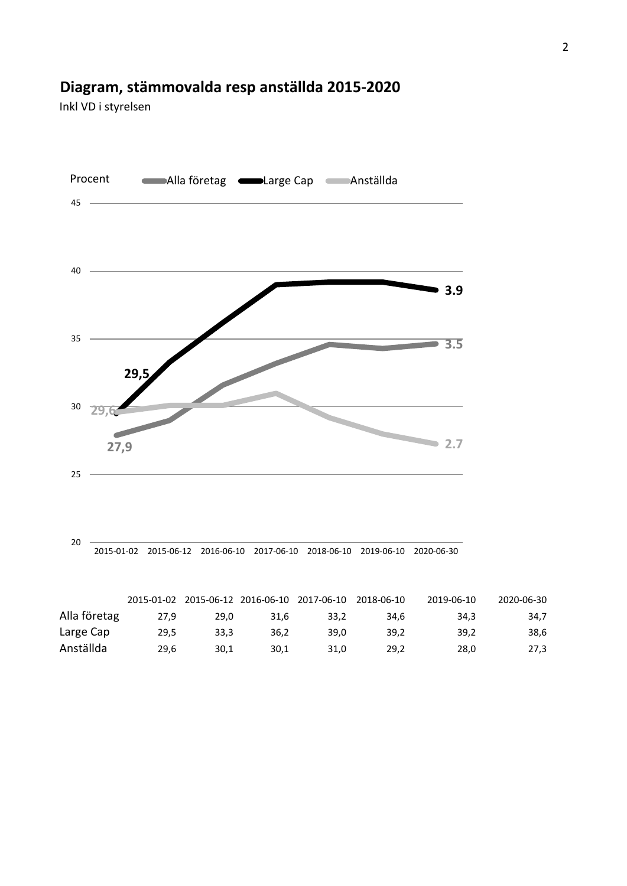### **Diagram, stämmovalda resp anställda 2015-2020**

Inkl VD i styrelsen



|              |      |      |      | 2015-01-02 2015-06-12 2016-06-10 2017-06-10 2018-06-10 |      | <b>2019-06-10</b> | 2020-06-30 |
|--------------|------|------|------|--------------------------------------------------------|------|-------------------|------------|
| Alla företag | 27.9 | 29.0 | 31.6 | 33.2                                                   | 34.6 | 34.3              | 34,7       |
| Large Cap    | 29.5 | 33.3 | 36.2 | 39.0                                                   | 39.2 | 39.2              | 38,6       |
| Anställda    | 29.6 | 30.1 | 30.1 | 31.0                                                   | 29.2 | 28.0              | 27,3       |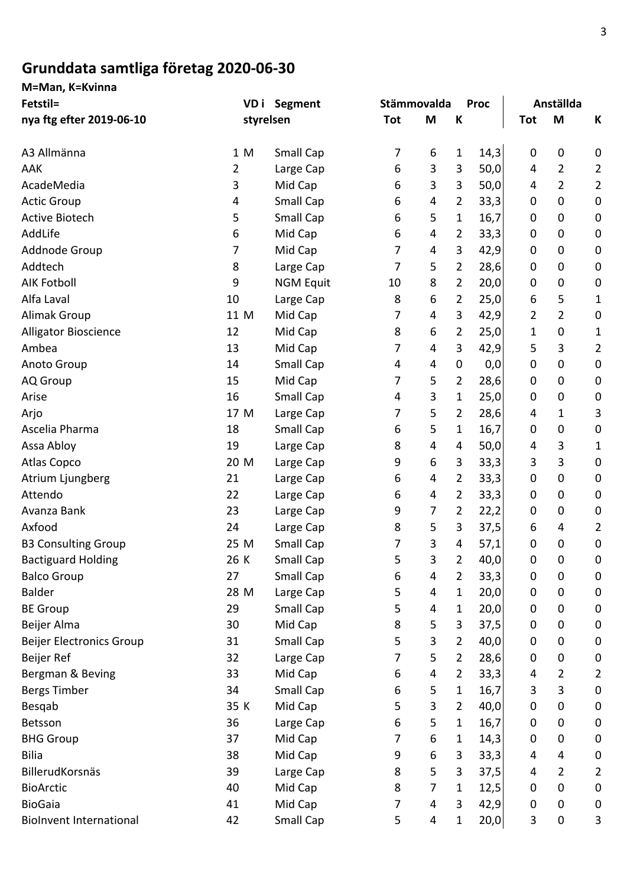## **Grunddata samtliga företag 2020-06-30**

**M=Man, K=Kvinna**

| Fetstil=                        | VD i | <b>Segment</b>   | Stämmovalda |   |                | <b>Proc</b> |             | Anställda   |                |
|---------------------------------|------|------------------|-------------|---|----------------|-------------|-------------|-------------|----------------|
| nya ftg efter 2019-06-10        |      | styrelsen        | Tot         | M | К              |             | <b>Tot</b>  | M           | К              |
| A3 Allmänna                     | 1 M  | <b>Small Cap</b> | 7           | 6 | 1              | 14,3        | 0           | 0           | 0              |
| AAK                             | 2    | Large Cap        | 6           | 3 | $\mathbf{3}$   | 50,0        | 4           | 2           | $\overline{2}$ |
| AcadeMedia                      | 3    | Mid Cap          | 6           | 3 | 3              | 50,0        | 4           | 2           | $\overline{2}$ |
| <b>Actic Group</b>              | 4    | Small Cap        | 6           | 4 | $\overline{2}$ | 33,3        | 0           | $\mathbf 0$ | $\pmb{0}$      |
| <b>Active Biotech</b>           | 5    | Small Cap        | 6           | 5 | 1              | 16,7        | 0           | $\mathbf 0$ | 0              |
| AddLife                         | 6    | Mid Cap          | 6           | 4 | 2              | 33,3        | 0           | $\mathbf 0$ | 0              |
| Addnode Group                   | 7    | Mid Cap          | 7           | 4 | $\mathbf{3}$   | 42,9        | 0           | $\mathbf 0$ | 0              |
| Addtech                         | 8    | Large Cap        | 7           | 5 | $\overline{2}$ | 28,6        | 0           | $\mathbf 0$ | 0              |
| <b>AIK Fotboll</b>              | 9    | <b>NGM Equit</b> | 10          | 8 | $\overline{2}$ | 20,0        | 0           | $\pmb{0}$   | 0              |
| Alfa Laval                      | 10   | Large Cap        | 8           | 6 | $\overline{2}$ | 25,0        | 6           | 5           | 1              |
| <b>Alimak Group</b>             | 11 M | Mid Cap          | 7           | 4 | 3              | 42,9        | 2           | 2           | 0              |
| <b>Alligator Bioscience</b>     | 12   | Mid Cap          | 8           | 6 | $\overline{2}$ | 25,0        | 1           | $\mathbf 0$ | 1              |
| Ambea                           | 13   | Mid Cap          | 7           | 4 | 3              | 42,9        | 5           | 3           | $\overline{2}$ |
| Anoto Group                     | 14   | Small Cap        | 4           | 4 | 0              | 0,0         | 0           | 0           | $\pmb{0}$      |
| AQ Group                        | 15   | Mid Cap          | 7           | 5 | $\overline{2}$ | 28,6        | 0           | $\mathbf 0$ | 0              |
| Arise                           | 16   | Small Cap        | 4           | 3 | 1              | 25,0        | 0           | $\mathbf 0$ | $\pmb{0}$      |
| Arjo                            | 17 M | Large Cap        | 7           | 5 | $\overline{2}$ | 28,6        | 4           | 1           | 3              |
| Ascelia Pharma                  | 18   | Small Cap        | 6           | 5 | 1              | 16,7        | 0           | 0           | 0              |
| Assa Abloy                      | 19   | Large Cap        | 8           | 4 | 4              | 50,0        | 4           | 3           | 1              |
| Atlas Copco                     | 20 M | Large Cap        | 9           | 6 | 3              | 33,3        | 3           | 3           | 0              |
| Atrium Ljungberg                | 21   | Large Cap        | 6           | 4 | $\overline{2}$ | 33,3        | 0           | $\mathbf 0$ | 0              |
| Attendo                         | 22   | Large Cap        | 6           | 4 | $\overline{2}$ | 33,3        | 0           | 0           | 0              |
| Avanza Bank                     | 23   | Large Cap        | 9           | 7 | $\overline{2}$ | 22,2        | 0           | $\mathbf 0$ | 0              |
| Axfood                          | 24   | Large Cap        | 8           | 5 | $\mathbf{3}$   | 37,5        | 6           | 4           | $\overline{2}$ |
| <b>B3 Consulting Group</b>      | 25 M | Small Cap        | 7           | 3 | 4              | 57,1        | 0           | $\mathbf 0$ | $\pmb{0}$      |
| <b>Bactiguard Holding</b>       | 26 K | <b>Small Cap</b> | 5           | 3 | $\overline{2}$ | 40,0        | $\mathbf 0$ | $\mathbf 0$ | 0              |
| <b>Balco Group</b>              | 27   | Small Cap        | 6           | 4 | $\overline{2}$ | 33,3        | 0           | 0           | 0              |
| <b>Balder</b>                   | 28 M | Large Cap        | 5           | 4 | $\mathbf{1}$   | 20,0        | 0           | 0           | 0              |
| <b>BE Group</b>                 | 29   | Small Cap        | 5           | 4 | 1              | 20,0        | 0           | $\mathbf 0$ | 0              |
| Beijer Alma                     | 30   | Mid Cap          | 8           | 5 | 3              | 37,5        | 0           | 0           | 0              |
| <b>Beijer Electronics Group</b> | 31   | Small Cap        | 5           | 3 | $\overline{2}$ | 40,0        | 0           | $\pmb{0}$   | 0              |
| Beijer Ref                      | 32   | Large Cap        | 7           | 5 | $\overline{2}$ | 28,6        | 0           | 0           | 0              |
| Bergman & Beving                | 33   | Mid Cap          | 6           | 4 | $\overline{2}$ | 33,3        | 4           | 2           | $\overline{2}$ |
| <b>Bergs Timber</b>             | 34   | Small Cap        | 6           | 5 | $\mathbf{1}$   | 16,7        | 3           | 3           | 0              |
| Besqab                          | 35 K | Mid Cap          | 5           | 3 | $\overline{2}$ | 40,0        | 0           | 0           | 0              |
| Betsson                         | 36   | Large Cap        | 6           | 5 | $\mathbf{1}$   | 16,7        | 0           | $\mathbf 0$ | 0              |
| <b>BHG Group</b>                | 37   | Mid Cap          | 7           | 6 | 1              | 14,3        | 0           | 0           | 0              |
| <b>Bilia</b>                    | 38   | Mid Cap          | 9           | 6 | $\mathbf{3}$   | 33,3        | 4           | 4           | 0              |
| BillerudKorsnäs                 | 39   | Large Cap        | 8           | 5 | 3              | 37,5        | 4           | 2           | $\overline{2}$ |
| <b>BioArctic</b>                | 40   | Mid Cap          | 8           | 7 | $\mathbf{1}$   | 12,5        | 0           | $\mathbf 0$ | 0              |
| <b>BioGaia</b>                  | 41   | Mid Cap          | 7           | 4 | $\mathbf{3}$   | 42,9        | 0           | $\mathbf 0$ | 0              |
| <b>BioInvent International</b>  | 42   | Small Cap        | 5           | 4 | 1              | 20,0        | 3           | $\pmb{0}$   | 3              |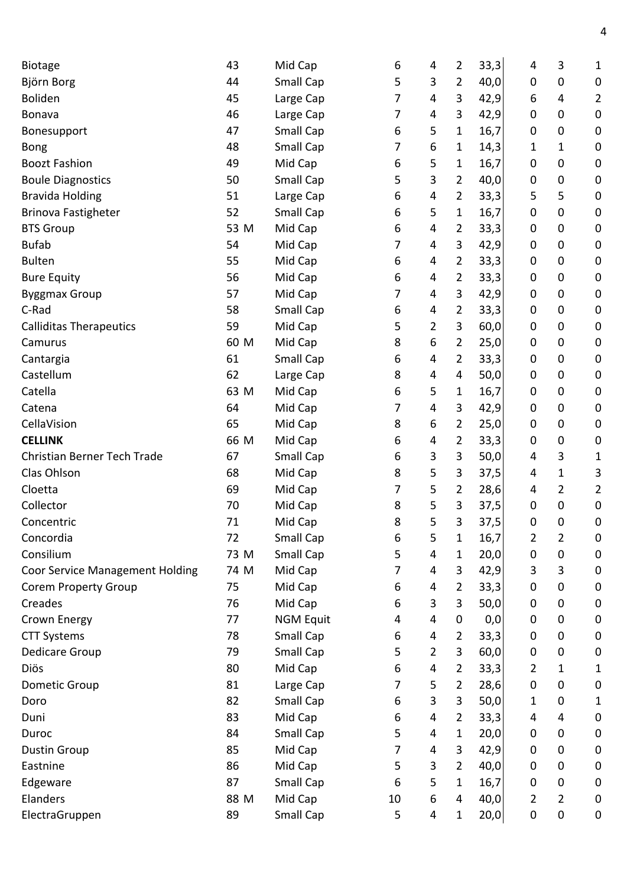| Biotage                                | 43   | Mid Cap          | 6  | 4              | 2              | 33,3 | 4              | 3              | 1                |
|----------------------------------------|------|------------------|----|----------------|----------------|------|----------------|----------------|------------------|
| Björn Borg                             | 44   | Small Cap        | 5  | 3              | 2              | 40,0 | 0              | 0              | $\boldsymbol{0}$ |
| Boliden                                | 45   | Large Cap        | 7  | 4              | 3              | 42,9 | 6              | 4              | $\overline{2}$   |
| <b>Bonava</b>                          | 46   | Large Cap        | 7  | 4              | 3              | 42,9 | 0              | 0              | $\mathbf 0$      |
| Bonesupport                            | 47   | Small Cap        | 6  | 5              | 1              | 16,7 | 0              | 0              | $\boldsymbol{0}$ |
| <b>Bong</b>                            | 48   | Small Cap        | 7  | 6              | 1              | 14,3 | 1              | 1              | $\boldsymbol{0}$ |
| <b>Boozt Fashion</b>                   | 49   | Mid Cap          | 6  | 5              | 1              | 16,7 | 0              | 0              | $\pmb{0}$        |
| <b>Boule Diagnostics</b>               | 50   | Small Cap        | 5  | 3              | 2              | 40,0 | 0              | 0              | $\boldsymbol{0}$ |
| <b>Bravida Holding</b>                 | 51   | Large Cap        | 6  | 4              | 2              | 33,3 | 5              | 5              | $\mathbf 0$      |
| <b>Brinova Fastigheter</b>             | 52   | Small Cap        | 6  | 5              | 1              | 16,7 | 0              | 0              | $\mathbf 0$      |
| <b>BTS Group</b>                       | 53 M | Mid Cap          | 6  | 4              | 2              | 33,3 | 0              | 0              | $\boldsymbol{0}$ |
| <b>Bufab</b>                           | 54   | Mid Cap          | 7  | 4              | 3              | 42,9 | 0              | 0              | $\boldsymbol{0}$ |
| <b>Bulten</b>                          | 55   | Mid Cap          | 6  | 4              | 2              | 33,3 | 0              | $\mathbf 0$    | $\mathbf 0$      |
| <b>Bure Equity</b>                     | 56   | Mid Cap          | 6  | 4              | 2              | 33,3 | 0              | 0              | $\boldsymbol{0}$ |
| <b>Byggmax Group</b>                   | 57   | Mid Cap          | 7  | 4              | 3              | 42,9 | 0              | 0              | $\boldsymbol{0}$ |
| C-Rad                                  | 58   | Small Cap        | 6  | 4              | 2              | 33,3 | 0              | 0              | $\mathbf 0$      |
| <b>Calliditas Therapeutics</b>         | 59   | Mid Cap          | 5  | 2              | 3              | 60,0 | 0              | 0              | $\boldsymbol{0}$ |
| Camurus                                | 60 M | Mid Cap          | 8  | 6              | 2              | 25,0 | 0              | 0              | $\boldsymbol{0}$ |
| Cantargia                              | 61   | Small Cap        | 6  | 4              | 2              | 33,3 | 0              | 0              | $\mathbf 0$      |
| Castellum                              | 62   | Large Cap        | 8  | 4              | 4              | 50,0 | 0              | $\mathbf 0$    | $\boldsymbol{0}$ |
| Catella                                | 63 M | Mid Cap          | 6  | 5              | 1              | 16,7 | 0              | 0              | $\boldsymbol{0}$ |
| Catena                                 | 64   | Mid Cap          | 7  | 4              | 3              | 42,9 | 0              | 0              | $\boldsymbol{0}$ |
| CellaVision                            | 65   | Mid Cap          | 8  | 6              | 2              | 25,0 | 0              | 0              | $\mathbf 0$      |
| <b>CELLINK</b>                         | 66 M | Mid Cap          | 6  | 4              | 2              | 33,3 | 0              | 0              | $\boldsymbol{0}$ |
| Christian Berner Tech Trade            | 67   | Small Cap        | 6  | 3              | 3              | 50,0 | 4              | 3              | 1                |
| Clas Ohlson                            | 68   | Mid Cap          | 8  | 5              | 3              | 37,5 | 4              | 1              | 3                |
| Cloetta                                | 69   | Mid Cap          | 7  | 5              | 2              | 28,6 | 4              | 2              | 2                |
| Collector                              | 70   | Mid Cap          | 8  | 5              | 3              | 37,5 | 0              | 0              | $\boldsymbol{0}$ |
| Concentric                             | 71   | Mid Cap          | 8  | 5              | 3              | 37,5 | 0              | 0              | 0                |
| Concordia                              | 72   | Small Cap        | 6  | 5              | 1              | 16,7 | $\overline{2}$ | 2              | $\mathbf 0$      |
| Consilium                              | 73 M | Small Cap        | 5  | 4              | 1              | 20,0 | 0              | $\mathbf 0$    | $\mathbf 0$      |
| <b>Coor Service Management Holding</b> | 74 M | Mid Cap          | 7  | 4              | 3              | 42,9 | 3              | 3              | $\boldsymbol{0}$ |
| <b>Corem Property Group</b>            | 75   | Mid Cap          | 6  | 4              | 2              | 33,3 | 0              | 0              | 0                |
| Creades                                | 76   | Mid Cap          | 6  | 3              | 3              | 50,0 | 0              | 0              | $\boldsymbol{0}$ |
| Crown Energy                           | 77   | <b>NGM Equit</b> | 4  | 4              | 0              | 0,0  | 0              | 0              | $\mathbf 0$      |
| <b>CTT Systems</b>                     | 78   | Small Cap        | 6  | 4              | 2              | 33,3 | 0              | 0              | $\boldsymbol{0}$ |
| Dedicare Group                         | 79   | Small Cap        | 5  | $\overline{2}$ | 3              | 60,0 | 0              | 0              | $\boldsymbol{0}$ |
| Diös                                   | 80   | Mid Cap          | 6  | 4              | 2              | 33,3 | 2              | 1              | 1                |
| Dometic Group                          | 81   | Large Cap        | 7  | 5              | $\overline{2}$ | 28,6 | 0              | 0              | 0                |
| Doro                                   | 82   | Small Cap        | 6  | 3              | 3              | 50,0 | 1              | 0              | 1                |
| Duni                                   | 83   | Mid Cap          | 6  | 4              | 2              | 33,3 | 4              | $\overline{4}$ | $\boldsymbol{0}$ |
| Duroc                                  | 84   | Small Cap        | 5  | 4              | 1              | 20,0 | 0              | 0              | $\boldsymbol{0}$ |
| <b>Dustin Group</b>                    | 85   | Mid Cap          | 7  | 4              | 3              | 42,9 | 0              | $\mathbf 0$    | $\boldsymbol{0}$ |
| Eastnine                               | 86   | Mid Cap          | 5  | 3              | $\overline{2}$ | 40,0 | 0              | $\mathbf 0$    | 0                |
| Edgeware                               | 87   | Small Cap        | 6  | 5              | 1              | 16,7 | 0              | 0              | $\boldsymbol{0}$ |
| Elanders                               | 88 M | Mid Cap          | 10 | 6              | 4              | 40,0 | 2              | 2              | $\boldsymbol{0}$ |
| ElectraGruppen                         | 89   | Small Cap        | 5  | 4              | 1              | 20,0 | 0              | 0              | $\pmb{0}$        |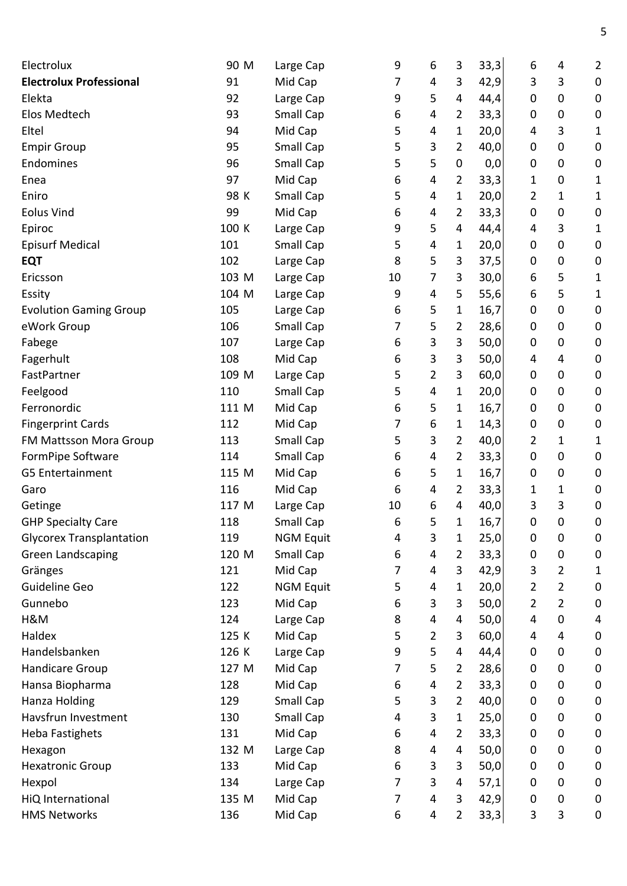| Electrolux                      | 90 M  | Large Cap        | 9                | 6              | 3              | 33,3  | 6         | 4              | $\overline{2}$   |
|---------------------------------|-------|------------------|------------------|----------------|----------------|-------|-----------|----------------|------------------|
| <b>Electrolux Professional</b>  | 91    | Mid Cap          | 7                | 4              | 3              | 42,9  | 3         | 3              | $\pmb{0}$        |
| Elekta                          | 92    | Large Cap        | 9                | 5              | 4              | 44,4  | 0         | 0              | $\mathbf 0$      |
| Elos Medtech                    | 93    | Small Cap        | 6                | 4              | 2              | 33,3  | 0         | 0              | $\boldsymbol{0}$ |
| Eltel                           | 94    | Mid Cap          | 5                | 4              | 1              | 20,0  | 4         | 3              | 1                |
| <b>Empir Group</b>              | 95    | Small Cap        | 5                | 3              | $\overline{2}$ | 40,0  | 0         | $\mathbf 0$    | $\boldsymbol{0}$ |
| Endomines                       | 96    | Small Cap        | 5                | 5              | $\pmb{0}$      | 0,0   | 0         | 0              | $\boldsymbol{0}$ |
| Enea                            | 97    | Mid Cap          | 6                | 4              | 2              | 33,3  | 1         | 0              | 1                |
| Eniro                           | 98 K  | Small Cap        | 5                | 4              | 1              | 20,0  | 2         | 1              | 1                |
| <b>Eolus Vind</b>               | 99    | Mid Cap          | 6                | 4              | 2              | 33,3  | 0         | 0              | $\boldsymbol{0}$ |
| Epiroc                          | 100 K | Large Cap        | 9                | 5              | 4              | 44,4  | 4         | 3              | 1                |
| <b>Episurf Medical</b>          | 101   | Small Cap        | 5                | 4              | 1              | 20,0  | 0         | 0              | $\pmb{0}$        |
| <b>EQT</b>                      | 102   | Large Cap        | 8                | 5              | 3              | 37,5  | 0         | 0              | $\boldsymbol{0}$ |
| Ericsson                        | 103 M | Large Cap        | 10               | 7              | 3              | 30,0  | 6         | 5              | 1                |
| Essity                          | 104 M | Large Cap        | 9                | 4              | 5              | 55,6  | 6         | 5              | 1                |
| <b>Evolution Gaming Group</b>   | 105   | Large Cap        | 6                | 5              | 1              | 16,7  | 0         | 0              | $\boldsymbol{0}$ |
| eWork Group                     | 106   | Small Cap        | 7                | 5              | $\overline{2}$ | 28,6  | 0         | 0              | $\boldsymbol{0}$ |
| Fabege                          | 107   | Large Cap        | 6                | 3              | 3              | 50,0  | 0         | 0              | $\boldsymbol{0}$ |
| Fagerhult                       | 108   | Mid Cap          | 6                | 3              | 3              | 50,0  | 4         | 4              | $\boldsymbol{0}$ |
| FastPartner                     | 109 M | Large Cap        | 5                | $\overline{2}$ | 3              | 60,0  | 0         | 0              | $\boldsymbol{0}$ |
| Feelgood                        | 110   | Small Cap        | 5                | 4              | 1              | 20,0  | 0         | 0              | $\boldsymbol{0}$ |
| Ferronordic                     | 111 M | Mid Cap          | 6                | 5              | 1              | 16,7  | 0         | 0              | $\boldsymbol{0}$ |
| <b>Fingerprint Cards</b>        | 112   | Mid Cap          | 7                | 6              | 1              | 14,3  | 0         | $\mathbf 0$    | $\mathbf 0$      |
| FM Mattsson Mora Group          | 113   | Small Cap        | 5                | 3              | $\overline{2}$ | 40,0  | 2         | 1              | 1                |
| FormPipe Software               | 114   | Small Cap        | 6                | 4              | 2              | 33,3  | 0         | 0              | $\boldsymbol{0}$ |
| G5 Entertainment                | 115 M | Mid Cap          | 6                | 5              | 1              | 16,7! | 0         | $\mathbf 0$    | $\mathbf 0$      |
| Garo                            | 116   | Mid Cap          | 6                | 4              | 2              | 33,3  | 1         | 1              | $\mathbf 0$      |
| Getinge                         | 117 M | Large Cap        | 10               | 6              | 4              | 40,0  | 3         | 3              | $\boldsymbol{0}$ |
| <b>GHP Specialty Care</b>       | 118   | <b>Small Cap</b> | 6                | 5              | $\mathbf{1}$   | 16,7  | 0         | 0              | $\pmb{0}$        |
| <b>Glycorex Transplantation</b> | 119   | <b>NGM Equit</b> | 4                | 3              | 1              | 25,0  | 0         | 0              | 0                |
| <b>Green Landscaping</b>        | 120 M | Small Cap        | $\boldsymbol{6}$ | 4              | 2              | 33,3  | 0         | $\mathbf 0$    | $\mathbf 0$      |
| Gränges                         | 121   | Mid Cap          | 7                | 4              | 3              | 42,9  | 3         | 2              | 1                |
| Guideline Geo                   | 122   | <b>NGM Equit</b> | 5                | $\overline{4}$ | 1              | 20,0  | 2         | $\overline{2}$ | $\pmb{0}$        |
| Gunnebo                         | 123   | Mid Cap          | 6                | 3              | 3              | 50,0  | 2         | $\overline{2}$ | $\mathbf 0$      |
| H&M                             | 124   | Large Cap        | 8                | 4              | 4              | 50,0  | 4         | $\mathbf 0$    | 4                |
| Haldex                          | 125 K | Mid Cap          | 5                | $\overline{2}$ | 3              | 60,0  | 4         | 4              | $\pmb{0}$        |
| Handelsbanken                   | 126 K | Large Cap        | 9                | 5              | 4              | 44,4  | 0         | 0              | $\pmb{0}$        |
| Handicare Group                 | 127 M | Mid Cap          | 7                | 5              | 2              | 28,6  | 0         | $\mathbf 0$    | $\pmb{0}$        |
| Hansa Biopharma                 | 128   | Mid Cap          | 6                | 4              | $\overline{2}$ | 33,3  | 0         | 0              | $\boldsymbol{0}$ |
| Hanza Holding                   | 129   | Small Cap        | 5                | 3              | $\overline{2}$ | 40,0  | 0         | 0              | $\mathbf 0$      |
| Havsfrun Investment             | 130   | Small Cap        | 4                | 3              | $\mathbf 1$    | 25,0  | 0         | 0              | $\boldsymbol{0}$ |
| <b>Heba Fastighets</b>          | 131   | Mid Cap          | 6                | 4              | $\overline{2}$ | 33,3  | 0         | $\mathbf 0$    | $\mathbf 0$      |
| Hexagon                         | 132 M | Large Cap        | 8                | 4              | 4              | 50,0  | 0         | 0              | $\boldsymbol{0}$ |
| <b>Hexatronic Group</b>         | 133   | Mid Cap          | 6                | 3              | 3              | 50,0  | 0         | 0              | $\boldsymbol{0}$ |
| Hexpol                          | 134   | Large Cap        | 7                | 3              | 4              | 57,1  | 0         | 0              | $\mathbf 0$      |
| HiQ International               | 135 M | Mid Cap          | 7                | 4              | 3              | 42,9  | $\pmb{0}$ | 0              | $\boldsymbol{0}$ |
| <b>HMS Networks</b>             | 136   | Mid Cap          | 6                | 4              | $\overline{2}$ | 33,3  | 3         | 3              | $\pmb{0}$        |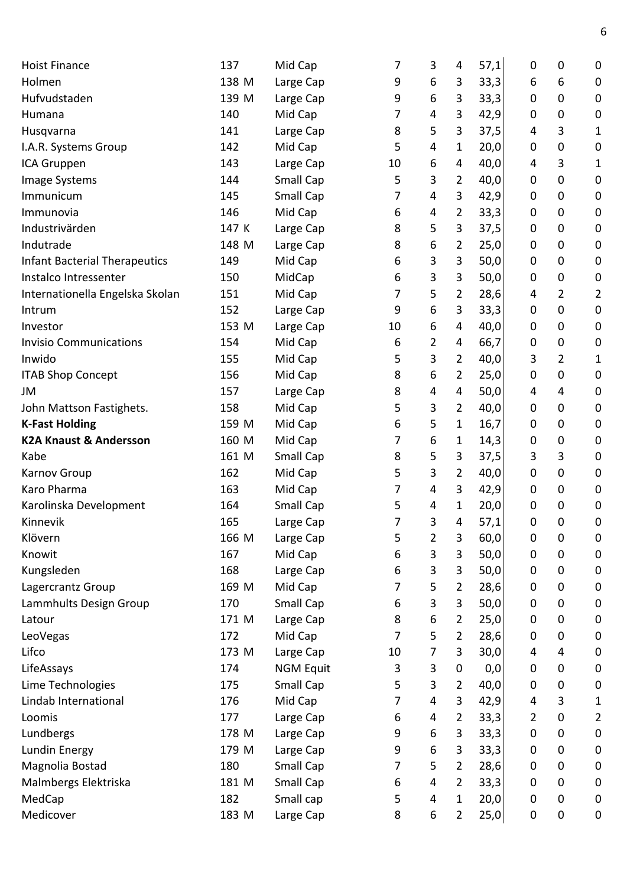| <b>Hoist Finance</b>                 | 137   | Mid Cap          | 7  | 3              | 4              | 57,1 | 0                | 0              | 0         |
|--------------------------------------|-------|------------------|----|----------------|----------------|------|------------------|----------------|-----------|
| Holmen                               | 138 M | Large Cap        | 9  | 6              | 3              | 33,3 | 6                | 6              | 0         |
| Hufvudstaden                         | 139 M | Large Cap        | 9  | 6              | 3              | 33,3 | 0                | 0              | 0         |
| Humana                               | 140   | Mid Cap          | 7  | 4              | 3              | 42,9 | 0                | 0              | 0         |
| Husqvarna                            | 141   | Large Cap        | 8  | 5              | 3              | 37,5 | 4                | 3              | 1         |
| I.A.R. Systems Group                 | 142   | Mid Cap          | 5  | 4              | 1              | 20,0 | 0                | 0              | 0         |
| ICA Gruppen                          | 143   | Large Cap        | 10 | 6              | 4              | 40,0 | 4                | 3              | 1         |
| Image Systems                        | 144   | Small Cap        | 5  | 3              | 2              | 40,0 | 0                | 0              | 0         |
| Immunicum                            | 145   | Small Cap        | 7  | 4              | 3              | 42,9 | 0                | 0              | 0         |
| Immunovia                            | 146   | Mid Cap          | 6  | 4              | 2              | 33,3 | 0                | 0              | 0         |
| Industrivärden                       | 147 K | Large Cap        | 8  | 5              | 3              | 37,5 | 0                | 0              | 0         |
| Indutrade                            | 148 M | Large Cap        | 8  | 6              | 2              | 25,0 | 0                | 0              | 0         |
| <b>Infant Bacterial Therapeutics</b> | 149   | Mid Cap          | 6  | 3              | 3              | 50,0 | 0                | 0              | 0         |
| Instalco Intressenter                | 150   | MidCap           | 6  | 3              | 3              | 50,0 | 0                | 0              | 0         |
| Internationella Engelska Skolan      | 151   | Mid Cap          | 7  | 5              | 2              | 28,6 | 4                | 2              | 2         |
| Intrum                               | 152   | Large Cap        | 9  | 6              | 3              | 33,3 | 0                | 0              | 0         |
| Investor                             | 153 M | Large Cap        | 10 | 6              | 4              | 40,0 | 0                | 0              | $\pmb{0}$ |
| <b>Invisio Communications</b>        | 154   | Mid Cap          | 6  | 2              | 4              | 66,7 | 0                | 0              | 0         |
| Inwido                               | 155   | Mid Cap          | 5  | 3              | 2              | 40,0 | 3                | $\overline{2}$ | 1         |
| <b>ITAB Shop Concept</b>             | 156   | Mid Cap          | 8  | 6              | 2              | 25,0 | 0                | 0              | 0         |
| JM                                   | 157   | Large Cap        | 8  | 4              | 4              | 50,0 | 4                | 4              | 0         |
| John Mattson Fastighets.             | 158   | Mid Cap          | 5  | 3              | 2              | 40,0 | 0                | 0              | 0         |
| <b>K-Fast Holding</b>                | 159 M | Mid Cap          | 6  | 5              | 1              | 16,7 | 0                | 0              | 0         |
| <b>K2A Knaust &amp; Andersson</b>    | 160 M | Mid Cap          | 7  | 6              | 1              | 14,3 | 0                | 0              | 0         |
| Kabe                                 | 161 M | Small Cap        | 8  | 5              | 3              | 37,5 | 3                | 3              | 0         |
| <b>Karnov Group</b>                  | 162   | Mid Cap          | 5  | 3              | 2              | 40,0 | 0                | 0              | 0         |
| Karo Pharma                          | 163   | Mid Cap          | 7  | 4              | 3              | 42,9 | 0                | 0              | 0         |
| Karolinska Development               | 164   | Small Cap        | 5  | 4              | 1              | 20,0 | 0                | 0              | 0         |
| Kinnevik                             | 165   | Large Cap        | 7  | 3              | 4              | 57,1 | 0                | 0              | 0         |
| Klövern                              | 166 M | Large Cap        | 5  | 2              | 3              | 60,0 | $\boldsymbol{0}$ | 0              | 0         |
| Knowit                               | 167   | Mid Cap          | 6  | 3              | 3              | 50,0 | 0                | 0              | 0         |
| Kungsleden                           | 168   | Large Cap        | 6  | 3              | 3              | 50,0 | 0                | 0              | 0         |
| Lagercrantz Group                    | 169 M | Mid Cap          | 7  | 5              | $\overline{2}$ | 28,6 | 0                | 0              | 0         |
| Lammhults Design Group               | 170   | Small Cap        | 6  | 3              | 3              | 50,0 | 0                | 0              | 0         |
| Latour                               | 171 M | Large Cap        | 8  | 6              | 2              | 25,0 | 0                | 0              | 0         |
| LeoVegas                             | 172   | Mid Cap          | 7  | 5              | $\overline{2}$ | 28,6 | 0                | 0              | $\pmb{0}$ |
| Lifco                                | 173 M | Large Cap        | 10 | 7              | 3              | 30,0 | 4                | 4              | 0         |
| LifeAssays                           | 174   | <b>NGM Equit</b> | 3  | 3              | 0              | 0,0  | 0                | 0              | 0         |
| Lime Technologies                    | 175   | Small Cap        | 5  | 3              | $\overline{2}$ | 40,0 | 0                | 0              | 0         |
| Lindab International                 | 176   | Mid Cap          | 7  | $\overline{4}$ | 3              | 42,9 | 4                | 3              |           |
|                                      |       |                  |    |                |                |      |                  |                | 1         |
| Loomis                               | 177   | Large Cap        | 6  | 4              | $\overline{2}$ | 33,3 | 2                | 0              | 2         |
| Lundbergs                            | 178 M | Large Cap        | 9  | 6              | 3              | 33,3 | 0                | 0              | $\pmb{0}$ |
| Lundin Energy                        | 179 M | Large Cap        | 9  | 6              | 3              | 33,3 | 0                | 0              | 0         |
| Magnolia Bostad                      | 180   | Small Cap        | 7  | 5              | $\overline{2}$ | 28,6 | 0                | 0              | 0         |
| Malmbergs Elektriska                 | 181 M | Small Cap        | 6  | 4              | $\overline{2}$ | 33,3 | 0                | 0              | 0         |
| MedCap                               | 182   | Small cap        | 5  | 4              | $\mathbf{1}$   | 20,0 | 0                | 0              | 0         |
| Medicover                            | 183 M | Large Cap        | 8  | 6              | $\overline{2}$ | 25,0 | 0                | 0              | 0         |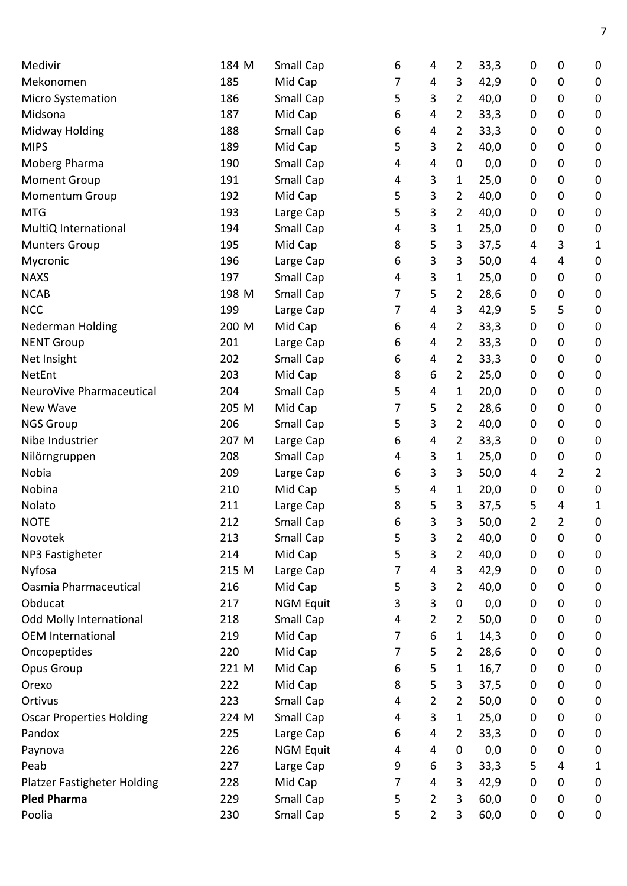| Medivir                            | 184 M | Small Cap        | 6 | 4              | 2              | 33,3 | 0              | 0              | $\boldsymbol{0}$ |
|------------------------------------|-------|------------------|---|----------------|----------------|------|----------------|----------------|------------------|
| Mekonomen                          | 185   | Mid Cap          | 7 | 4              | 3              | 42,9 | 0              | $\mathbf 0$    | $\mathbf 0$      |
| <b>Micro Systemation</b>           | 186   | Small Cap        | 5 | 3              | 2              | 40,0 | 0              | 0              | $\boldsymbol{0}$ |
| Midsona                            | 187   | Mid Cap          | 6 | 4              | 2              | 33,3 | 0              | $\mathbf 0$    | $\mathbf 0$      |
| <b>Midway Holding</b>              | 188   | Small Cap        | 6 | 4              | 2              | 33,3 | 0              | $\mathbf 0$    | $\pmb{0}$        |
| <b>MIPS</b>                        | 189   | Mid Cap          | 5 | 3              | $\overline{2}$ | 40,0 | 0              | 0              | $\boldsymbol{0}$ |
| Moberg Pharma                      | 190   | Small Cap        | 4 | 4              | 0              | 0,0  | 0              | $\mathbf 0$    | $\mathbf 0$      |
| <b>Moment Group</b>                | 191   | Small Cap        | 4 | 3              | 1              | 25,0 | 0              | 0              | $\boldsymbol{0}$ |
| Momentum Group                     | 192   | Mid Cap          | 5 | 3              | $\overline{2}$ | 40,0 | 0              | $\mathbf 0$    | $\mathbf 0$      |
| <b>MTG</b>                         | 193   | Large Cap        | 5 | 3              | $\overline{2}$ | 40,0 | 0              | 0              | $\boldsymbol{0}$ |
| MultiQ International               | 194   | Small Cap        | 4 | 3              | 1              | 25,0 | 0              | $\mathbf 0$    | $\boldsymbol{0}$ |
| <b>Munters Group</b>               | 195   | Mid Cap          | 8 | 5              | 3              | 37,5 | 4              | 3              | 1                |
| Mycronic                           | 196   | Large Cap        | 6 | 3              | 3              | 50,0 | 4              | 4              | $\boldsymbol{0}$ |
| <b>NAXS</b>                        | 197   | Small Cap        | 4 | 3              | 1              | 25,0 | 0              | 0              | $\mathbf 0$      |
| <b>NCAB</b>                        | 198 M | Small Cap        | 7 | 5              | $\overline{2}$ | 28,6 | 0              | 0              | $\boldsymbol{0}$ |
| <b>NCC</b>                         | 199   | Large Cap        | 7 | 4              | 3              | 42,9 | 5              | 5              | $\mathbf 0$      |
| <b>Nederman Holding</b>            | 200 M | Mid Cap          | 6 | 4              | 2              | 33,3 | 0              | $\mathbf 0$    | $\pmb{0}$        |
| <b>NENT Group</b>                  | 201   | Large Cap        | 6 | 4              | 2              | 33,3 | 0              | 0              | $\boldsymbol{0}$ |
| Net Insight                        | 202   | Small Cap        | 6 | 4              | 2              | 33,3 | 0              | $\mathbf 0$    | $\boldsymbol{0}$ |
| NetEnt                             | 203   | Mid Cap          | 8 | 6              | $\overline{2}$ | 25,0 | 0              | $\mathbf 0$    | $\mathbf 0$      |
| NeuroVive Pharmaceutical           | 204   | Small Cap        | 5 | 4              | 1              | 20,0 | 0              | 0              | $\boldsymbol{0}$ |
| New Wave                           | 205 M | Mid Cap          | 7 | 5              | 2              | 28,6 | 0              | $\mathbf 0$    | $\boldsymbol{0}$ |
| <b>NGS Group</b>                   | 206   | Small Cap        | 5 | 3              | $\overline{2}$ | 40,0 | 0              | $\mathbf 0$    | $\mathbf 0$      |
| Nibe Industrier                    | 207 M | Large Cap        | 6 | 4              | 2              | 33,3 | 0              | $\mathbf 0$    | $\boldsymbol{0}$ |
| Nilörngruppen                      | 208   | Small Cap        | 4 | 3              | 1              | 25,0 | 0              | $\mathbf 0$    | $\boldsymbol{0}$ |
| Nobia                              | 209   | Large Cap        | 6 | 3              | 3              | 50,0 | 4              | 2              | $\overline{2}$   |
| Nobina                             | 210   | Mid Cap          | 5 | 4              | 1              | 20,0 | 0              | 0              | $\mathbf 0$      |
| Nolato                             | 211   | Large Cap        | 8 | 5              | 3              | 37,5 | 5              | 4              | 1                |
| <b>NOTE</b>                        | 212   | Small Cap        | 6 | 3              | 3              | 50,0 | $\overline{2}$ | $\overline{2}$ | $\mathbf 0$      |
| Novotek                            | 213   | <b>Small Cap</b> | 5 | 3              | 2              | 40,0 | 0              | 0              | $\boldsymbol{0}$ |
| NP3 Fastigheter                    | 214   | Mid Cap          | 5 | 3              | 2              | 40,0 | 0              | $\mathbf 0$    | $\boldsymbol{0}$ |
| Nyfosa                             | 215 M | Large Cap        | 7 | 4              | 3              | 42,9 | 0              | $\mathbf 0$    | $\boldsymbol{0}$ |
| Oasmia Pharmaceutical              | 216   | Mid Cap          | 5 | 3              | $\overline{2}$ | 40,0 | 0              | 0              | $\mathbf 0$      |
| Obducat                            | 217   | <b>NGM Equit</b> | 3 | 3              | $\pmb{0}$      | 0,0  | 0              | 0              | $\boldsymbol{0}$ |
| <b>Odd Molly International</b>     | 218   | Small Cap        | 4 | $\overline{2}$ | 2              | 50,0 | 0              | $\mathbf 0$    | $\boldsymbol{0}$ |
| <b>OEM International</b>           | 219   | Mid Cap          | 7 | 6              | 1              | 14,3 | 0              | 0              | 0                |
| Oncopeptides                       | 220   | Mid Cap          | 7 | 5              | 2              | 28,6 | 0              | 0              | $\boldsymbol{0}$ |
| Opus Group                         | 221 M | Mid Cap          | 6 | 5              | 1              | 16,7 | 0              | 0              | $\boldsymbol{0}$ |
| Orexo                              | 222   | Mid Cap          | 8 | 5              | 3              | 37,5 | 0              | 0              | $\boldsymbol{0}$ |
| Ortivus                            | 223   | Small Cap        | 4 | $\overline{2}$ | $\overline{2}$ | 50,0 | 0              | 0              | $\mathbf 0$      |
| <b>Oscar Properties Holding</b>    | 224 M | Small Cap        | 4 | 3              | 1              | 25,0 | 0              | $\mathbf 0$    | 0                |
| Pandox                             | 225   | Large Cap        | 6 | 4              | $\overline{2}$ | 33,3 | 0              | 0              | $\boldsymbol{0}$ |
| Paynova                            | 226   | <b>NGM Equit</b> | 4 | 4              | 0              | 0,0  | 0              | 0              | $\boldsymbol{0}$ |
| Peab                               | 227   | Large Cap        | 9 | 6              | 3              | 33,3 | 5              | 4              | 1                |
| <b>Platzer Fastigheter Holding</b> | 228   | Mid Cap          | 7 | 4              | 3              | 42,9 | 0              | 0              | $\mathbf 0$      |
| <b>Pled Pharma</b>                 | 229   | Small Cap        | 5 | $\overline{2}$ | 3              | 60,0 | 0              | 0              | $\boldsymbol{0}$ |
| Poolia                             | 230   | Small Cap        | 5 | $\overline{2}$ | 3              | 60,0 | 0              | $\mathbf 0$    | 0                |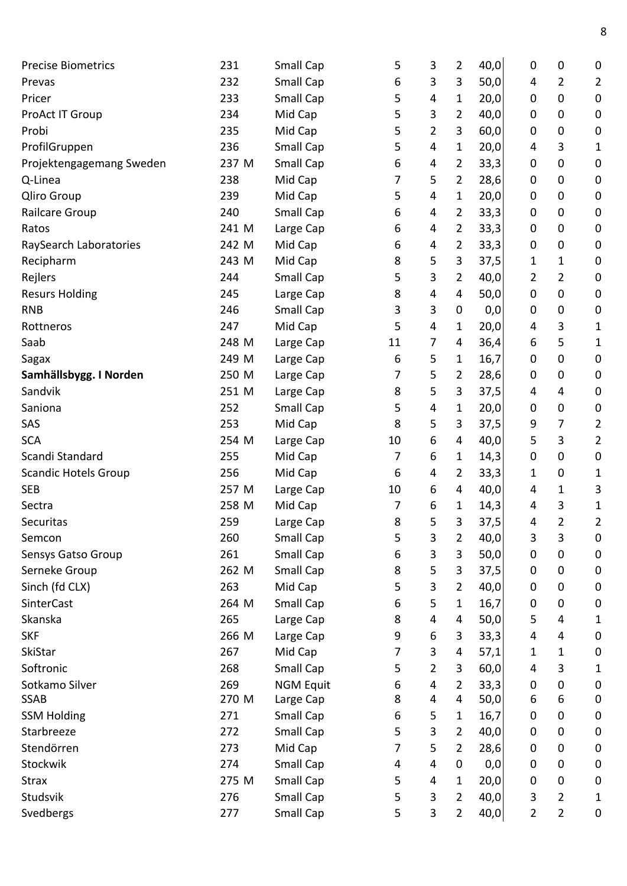| <b>Precise Biometrics</b>   | 231   | Small Cap        | 5  | 3                       | $\overline{2}$ | 40,0 | 0 | 0                | 0                |
|-----------------------------|-------|------------------|----|-------------------------|----------------|------|---|------------------|------------------|
| Prevas                      | 232   | Small Cap        | 6  | 3                       | 3              | 50,0 | 4 | $\overline{2}$   | $\overline{2}$   |
| Pricer                      | 233   | Small Cap        | 5  | 4                       | 1              | 20,0 | 0 | $\mathbf 0$      | $\mathbf 0$      |
| ProAct IT Group             | 234   | Mid Cap          | 5  | 3                       | $\overline{2}$ | 40,0 | 0 | 0                | $\mathbf 0$      |
| Probi                       | 235   | Mid Cap          | 5  | $\overline{2}$          | 3              | 60,0 | 0 | 0                | $\pmb{0}$        |
| ProfilGruppen               | 236   | <b>Small Cap</b> | 5  | 4                       | 1              | 20,0 | 4 | 3                | 1                |
| Projektengagemang Sweden    | 237 M | Small Cap        | 6  | 4                       | 2              | 33,3 | 0 | $\mathbf 0$      | $\mathbf 0$      |
| Q-Linea                     | 238   | Mid Cap          | 7  | 5                       | 2              | 28,6 | 0 | 0                | $\pmb{0}$        |
| Qliro Group                 | 239   | Mid Cap          | 5  | 4                       | 1              | 20,0 | 0 | 0                | $\mathbf 0$      |
| Railcare Group              | 240   | Small Cap        | 6  | 4                       | $\overline{2}$ | 33,3 | 0 | 0                | $\mathbf 0$      |
| Ratos                       | 241 M | Large Cap        | 6  | 4                       | $\overline{2}$ | 33,3 | 0 | 0                | $\pmb{0}$        |
| RaySearch Laboratories      | 242 M | Mid Cap          | 6  | 4                       | 2              | 33,3 | 0 | $\boldsymbol{0}$ | $\pmb{0}$        |
| Recipharm                   | 243 M | Mid Cap          | 8  | 5                       | 3              | 37,5 | 1 | 1                | $\pmb{0}$        |
| Rejlers                     | 244   | Small Cap        | 5  | 3                       | 2              | 40,0 | 2 | 2                | $\pmb{0}$        |
| <b>Resurs Holding</b>       | 245   | Large Cap        | 8  | 4                       | 4              | 50,0 | 0 | $\mathbf 0$      | $\pmb{0}$        |
| <b>RNB</b>                  | 246   | Small Cap        | 3  | 3                       | $\pmb{0}$      | 0,0  | 0 | 0                | $\mathbf 0$      |
| Rottneros                   | 247   | Mid Cap          | 5  | $\overline{\mathbf{4}}$ | 1              | 20,0 | 4 | 3                | 1                |
| Saab                        | 248 M | Large Cap        | 11 | 7                       | 4              | 36,4 | 6 | 5                | 1                |
| Sagax                       | 249 M | Large Cap        | 6  | 5                       | 1              | 16,7 | 0 | 0                | $\mathbf 0$      |
| Samhällsbygg. I Norden      | 250 M | Large Cap        | 7  | 5                       | $\overline{2}$ | 28,6 | 0 | 0                | 0                |
| Sandvik                     | 251 M | Large Cap        | 8  | 5                       | 3              | 37,5 | 4 | 4                | $\mathbf 0$      |
| Saniona                     | 252   | Small Cap        | 5  | 4                       | 1              | 20,0 | 0 | 0                | $\pmb{0}$        |
| SAS                         | 253   | Mid Cap          | 8  | 5                       | 3              | 37,5 | 9 | 7                | $\overline{2}$   |
| <b>SCA</b>                  | 254 M | Large Cap        | 10 | 6                       | $\overline{4}$ | 40,0 | 5 | 3                | $\overline{2}$   |
| Scandi Standard             | 255   | Mid Cap          | 7  | 6                       | 1              | 14,3 | 0 | 0                | $\pmb{0}$        |
| <b>Scandic Hotels Group</b> | 256   | Mid Cap          | 6  | 4                       | 2              | 33,3 | 1 | 0                | 1                |
| <b>SEB</b>                  | 257 M | Large Cap        | 10 | 6                       | $\overline{4}$ | 40,0 | 4 | 1                | 3                |
| Sectra                      | 258 M | Mid Cap          | 7  | 6                       | 1              | 14,3 | 4 | 3                | 1                |
| Securitas                   | 259   | Large Cap        | 8  | 5                       | 3              | 37,5 | 4 | $\overline{2}$   | 2                |
| Semcon                      | 260   | Small Cap        | 5  | 3                       | 2              | 40,0 | 3 | 3                | 0                |
| Sensys Gatso Group          | 261   | Small Cap        | 6  | 3                       | 3              | 50,0 | 0 | $\mathbf 0$      | $\mathbf 0$      |
| Serneke Group               | 262 M | Small Cap        | 8  | 5                       | 3              | 37,5 | 0 | 0                | 0                |
| Sinch (fd CLX)              | 263   | Mid Cap          | 5  | 3                       | 2              | 40,0 | 0 | 0                | $\boldsymbol{0}$ |
| SinterCast                  | 264 M | Small Cap        | 6  | 5                       | 1              | 16,7 | 0 | 0                | $\pmb{0}$        |
| Skanska                     | 265   | Large Cap        | 8  | 4                       | 4              | 50,0 | 5 | 4                | 1                |
| <b>SKF</b>                  | 266 M | Large Cap        | 9  | 6                       | 3              | 33,3 | 4 | 4                | $\pmb{0}$        |
| SkiStar                     | 267   | Mid Cap          | 7  | 3                       | 4              | 57,1 | 1 | 1                | $\mathbf 0$      |
| Softronic                   | 268   | Small Cap        | 5  | 2                       | 3              | 60,0 | 4 | 3                | 1                |
| Sotkamo Silver              | 269   | <b>NGM Equit</b> | 6  | 4                       | $\overline{2}$ | 33,3 | 0 | 0                | 0                |
| <b>SSAB</b>                 | 270 M | Large Cap        | 8  | 4                       | $\overline{4}$ | 50,0 | 6 | 6                | $\pmb{0}$        |
| <b>SSM Holding</b>          | 271   | Small Cap        | 6  | 5                       | 1              | 16,7 | 0 | 0                | $\boldsymbol{0}$ |
| Starbreeze                  | 272   | Small Cap        | 5  | $\mathbf{3}$            | 2              | 40,0 | 0 | 0                | $\mathbf 0$      |
| Stendörren                  | 273   | Mid Cap          | 7  | 5                       | $\overline{2}$ | 28,6 | 0 | 0                | $\boldsymbol{0}$ |
| Stockwik                    | 274   | Small Cap        | 4  | $\overline{4}$          | $\pmb{0}$      | 0,0  | 0 | 0                | $\mathbf 0$      |
| <b>Strax</b>                | 275 M | Small Cap        | 5  | 4                       | 1              | 20,0 | 0 | $\boldsymbol{0}$ | 0                |
| Studsvik                    | 276   | Small Cap        | 5  | 3                       | $\overline{2}$ | 40,0 | 3 | $\overline{2}$   | 1                |
| Svedbergs                   | 277   | Small Cap        | 5  | $\mathbf{3}$            | $\overline{2}$ | 40,0 | 2 | $\overline{2}$   | $\pmb{0}$        |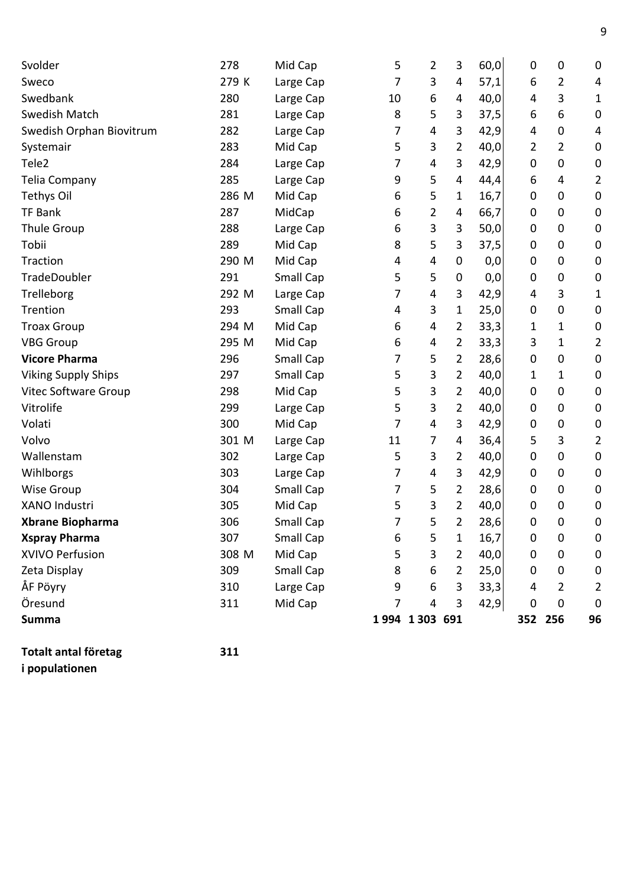| Svolder                     | 278   | Mid Cap   | 5  | 2              | 3                | 60,0 | $\mathbf 0$      | 0              | $\mathbf 0$      |
|-----------------------------|-------|-----------|----|----------------|------------------|------|------------------|----------------|------------------|
| Sweco                       | 279 K | Large Cap | 7  | 3              | 4                | 57,1 | 6                | 2              | 4                |
| Swedbank                    | 280   | Large Cap | 10 | 6              | 4                | 40,0 | 4                | 3              | $\mathbf{1}$     |
| Swedish Match               | 281   | Large Cap | 8  | 5              | 3                | 37,5 | 6                | 6              | $\mathbf 0$      |
| Swedish Orphan Biovitrum    | 282   | Large Cap | 7  | 4              | 3                | 42,9 | 4                | 0              | 4                |
| Systemair                   | 283   | Mid Cap   | 5  | 3              | $\overline{2}$   | 40,0 | 2                | $\overline{2}$ | $\boldsymbol{0}$ |
| Tele <sub>2</sub>           | 284   | Large Cap | 7  | 4              | 3                | 42,9 | 0                | 0              | $\pmb{0}$        |
| <b>Telia Company</b>        | 285   | Large Cap | 9  | 5              | $\overline{4}$   | 44,4 | 6                | 4              | 2                |
| <b>Tethys Oil</b>           | 286 M | Mid Cap   | 6  | 5              | 1                | 16,7 | 0                | 0              | $\pmb{0}$        |
| <b>TF Bank</b>              | 287   | MidCap    | 6  | 2              | 4                | 66,7 | 0                | 0              | $\mathbf 0$      |
| Thule Group                 | 288   | Large Cap | 6  | 3              | 3                | 50,0 | $\mathbf 0$      | 0              | $\mathbf 0$      |
| Tobii                       | 289   | Mid Cap   | 8  | 5              | 3                | 37,5 | $\boldsymbol{0}$ | 0              | $\pmb{0}$        |
| Traction                    | 290 M | Mid Cap   | 4  | 4              | 0                | 0,0  | $\mathbf 0$      | 0              | $\pmb{0}$        |
| TradeDoubler                | 291   | Small Cap | 5  | 5              | $\boldsymbol{0}$ | 0,0  | $\mathbf 0$      | 0              | $\boldsymbol{0}$ |
| Trelleborg                  | 292 M | Large Cap | 7  | 4              | 3                | 42,9 | 4                | 3              | 1                |
| Trention                    | 293   | Small Cap | 4  | 3              | 1                | 25,0 | $\mathbf 0$      | 0              | $\boldsymbol{0}$ |
| <b>Troax Group</b>          | 294 M | Mid Cap   | 6  | 4              | 2                | 33,3 | 1                | 1              | $\boldsymbol{0}$ |
| <b>VBG Group</b>            | 295 M | Mid Cap   | 6  | 4              | 2                | 33,3 | 3                | 1              | $\overline{2}$   |
| <b>Vicore Pharma</b>        | 296   | Small Cap | 7  | 5              | 2                | 28,6 | 0                | 0              | $\pmb{0}$        |
| <b>Viking Supply Ships</b>  | 297   | Small Cap | 5  | 3              | $\overline{2}$   | 40,0 | 1                | 1              | $\boldsymbol{0}$ |
| <b>Vitec Software Group</b> | 298   | Mid Cap   | 5  | 3              | 2                | 40,0 | 0                | 0              | $\boldsymbol{0}$ |
| Vitrolife                   | 299   | Large Cap | 5  | 3              | $\overline{2}$   | 40,0 | 0                | 0              | $\boldsymbol{0}$ |
| Volati                      | 300   | Mid Cap   | 7  | $\overline{4}$ | 3                | 42,9 | $\mathbf 0$      | 0              | $\mathbf 0$      |
| Volvo                       | 301 M | Large Cap | 11 | 7              | 4                | 36,4 | 5                | 3              | $\overline{2}$   |
| Wallenstam                  | 302   | Large Cap | 5  | 3              | 2                | 40,0 | $\mathbf 0$      | 0              | $\boldsymbol{0}$ |
| Wihlborgs                   | 303   | Large Cap | 7  | 4              | 3                | 42,9 | $\mathbf 0$      | 0              | $\boldsymbol{0}$ |
| <b>Wise Group</b>           | 304   | Small Cap | 7  | 5              | 2                | 28,6 | $\mathbf 0$      | 0              | $\boldsymbol{0}$ |
| <b>XANO Industri</b>        | 305   | Mid Cap   | 5  | 3              | 2                | 40,0 | $\mathbf 0$      | 0              | $\mathbf 0$      |
| <b>Xbrane Biopharma</b>     | 306   | Small Cap | 7  | 5              | $\overline{2}$   | 28,6 | 0                | 0              | $\mathbf 0$      |
| <b>Xspray Pharma</b>        | 307   | Small Cap | 6  | 5              | 1                | 16,7 | $\mathbf 0$      | 0              | $\boldsymbol{0}$ |
| XVIVO Perfusion             | 308 M | Mid Cap   | 5  | 3              | $\overline{2}$   | 40,0 | 0                | 0              | $\boldsymbol{0}$ |
| Zeta Display                | 309   | Small Cap | 8  | 6              | $\overline{2}$   | 25,0 | 0                | 0              | $\boldsymbol{0}$ |
| ÅF Pöyry                    | 310   | Large Cap | 9  | 6              | 3                | 33,3 | 4                | 2              | 2                |
| Öresund                     | 311   | Mid Cap   | 7  | $\overline{4}$ | 3                | 42,9 | 0                | 0              | $\mathbf 0$      |
| <b>Summa</b>                |       |           |    | 1994 1303 691  |                  |      |                  | 352 256        | 96               |

**Totalt antal företag 311 i populationen**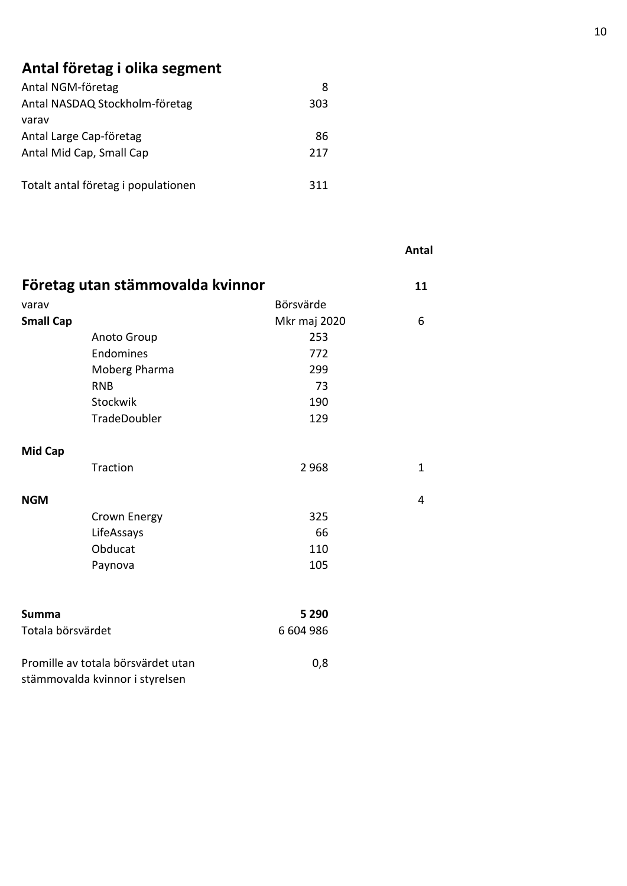## **Antal företag i olika segment**

| Antal NGM-företag                   |     |
|-------------------------------------|-----|
| Antal NASDAQ Stockholm-företag      | 303 |
| varav                               |     |
| Antal Large Cap-företag             | 86  |
| Antal Mid Cap, Small Cap            | 217 |
|                                     |     |
| Totalt antal företag i populationen | 311 |

|                   |                                    |              | Antal        |
|-------------------|------------------------------------|--------------|--------------|
|                   | Företag utan stämmovalda kvinnor   |              | 11           |
| varav             |                                    | Börsvärde    |              |
| <b>Small Cap</b>  |                                    | Mkr maj 2020 | 6            |
|                   | Anoto Group                        | 253          |              |
|                   | Endomines                          | 772          |              |
|                   | Moberg Pharma                      | 299          |              |
|                   | <b>RNB</b>                         | 73           |              |
|                   | Stockwik                           | 190          |              |
|                   | TradeDoubler                       | 129          |              |
| <b>Mid Cap</b>    |                                    |              |              |
|                   | Traction                           | 2968         | $\mathbf{1}$ |
| <b>NGM</b>        |                                    |              | 4            |
|                   | Crown Energy                       | 325          |              |
|                   | LifeAssays                         | 66           |              |
|                   | Obducat                            | 110          |              |
|                   | Paynova                            | 105          |              |
| <b>Summa</b>      |                                    | 5 2 9 0      |              |
| Totala börsvärdet |                                    | 6 604 986    |              |
|                   |                                    |              |              |
|                   | Promille av totala börsvärdet utan | 0,8          |              |
|                   | stämmovalda kvinnor i styrelsen    |              |              |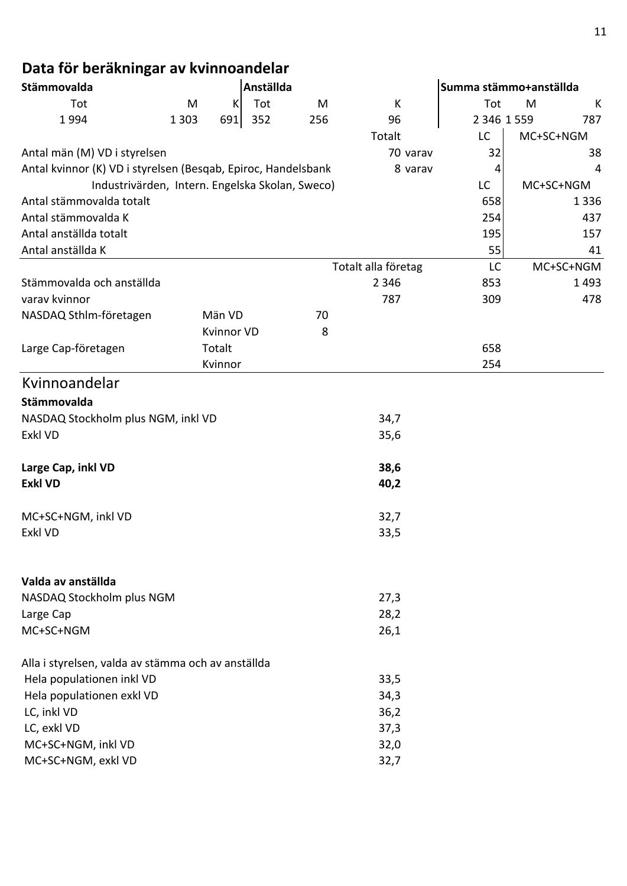# **Data för beräkningar av kvinnoandelar**

| Stämmovalda                                                   |         |                   | Anställda |     |                     | Summa stämmo+anställda |   |           |
|---------------------------------------------------------------|---------|-------------------|-----------|-----|---------------------|------------------------|---|-----------|
| Tot                                                           | M       | K                 | Tot       | M   | К                   | Tot                    | M | К         |
| 1994                                                          | 1 3 0 3 | 691               | 352       | 256 | 96                  | 2 346 1 559            |   | 787       |
|                                                               |         |                   |           |     | Totalt              | LC                     |   | MC+SC+NGM |
| Antal män (M) VD i styrelsen                                  |         |                   |           |     | 70 varav            | 32                     |   | 38        |
| Antal kvinnor (K) VD i styrelsen (Besqab, Epiroc, Handelsbank |         |                   |           |     | 8 varav             | 4                      |   | 4         |
| Industrivärden, Intern. Engelska Skolan, Sweco)               |         |                   |           |     |                     | LC                     |   | MC+SC+NGM |
| Antal stämmovalda totalt                                      |         |                   |           |     |                     | 658                    |   | 1336      |
| Antal stämmovalda K                                           |         |                   |           |     |                     | 254                    |   | 437       |
| Antal anställda totalt                                        |         |                   |           |     |                     | 195                    |   | 157       |
| Antal anställda K                                             |         |                   |           |     |                     | 55                     |   | 41        |
|                                                               |         |                   |           |     | Totalt alla företag | LC                     |   | MC+SC+NGM |
| Stämmovalda och anställda                                     |         |                   |           |     | 2 3 4 6             | 853                    |   | 1493      |
| varav kvinnor                                                 |         |                   |           |     | 787                 | 309                    |   | 478       |
| NASDAQ Sthlm-företagen                                        |         | Män VD            |           | 70  |                     |                        |   |           |
|                                                               |         | <b>Kvinnor VD</b> |           | 8   |                     |                        |   |           |
| Large Cap-företagen                                           |         | Totalt            |           |     |                     | 658                    |   |           |
|                                                               |         | Kvinnor           |           |     |                     | 254                    |   |           |
| Kvinnoandelar                                                 |         |                   |           |     |                     |                        |   |           |
| Stämmovalda                                                   |         |                   |           |     |                     |                        |   |           |
| NASDAQ Stockholm plus NGM, inkl VD                            |         |                   |           |     | 34,7                |                        |   |           |
| Exkl VD                                                       |         |                   |           |     | 35,6                |                        |   |           |
|                                                               |         |                   |           |     |                     |                        |   |           |
| Large Cap, inkl VD                                            |         |                   |           |     | 38,6                |                        |   |           |
| <b>Exkl VD</b>                                                |         |                   |           |     | 40,2                |                        |   |           |
|                                                               |         |                   |           |     |                     |                        |   |           |
| MC+SC+NGM, inkl VD                                            |         |                   |           |     | 32,7                |                        |   |           |
| Exkl VD                                                       |         |                   |           |     | 33,5                |                        |   |           |
|                                                               |         |                   |           |     |                     |                        |   |           |
| Valda av anställda                                            |         |                   |           |     |                     |                        |   |           |
| NASDAQ Stockholm plus NGM                                     |         |                   |           |     | 27,3                |                        |   |           |
| Large Cap                                                     |         |                   |           |     | 28,2                |                        |   |           |
| MC+SC+NGM                                                     |         |                   |           |     | 26,1                |                        |   |           |
| Alla i styrelsen, valda av stämma och av anställda            |         |                   |           |     |                     |                        |   |           |
| Hela populationen inkl VD                                     |         |                   |           |     | 33,5                |                        |   |           |
| Hela populationen exkl VD                                     |         |                   |           |     | 34,3                |                        |   |           |
| LC, inkl VD                                                   |         |                   |           |     | 36,2                |                        |   |           |
| LC, exkl VD                                                   |         |                   |           |     | 37,3                |                        |   |           |
| MC+SC+NGM, inkl VD                                            |         |                   |           |     | 32,0                |                        |   |           |
| MC+SC+NGM, exkl VD                                            |         |                   |           |     | 32,7                |                        |   |           |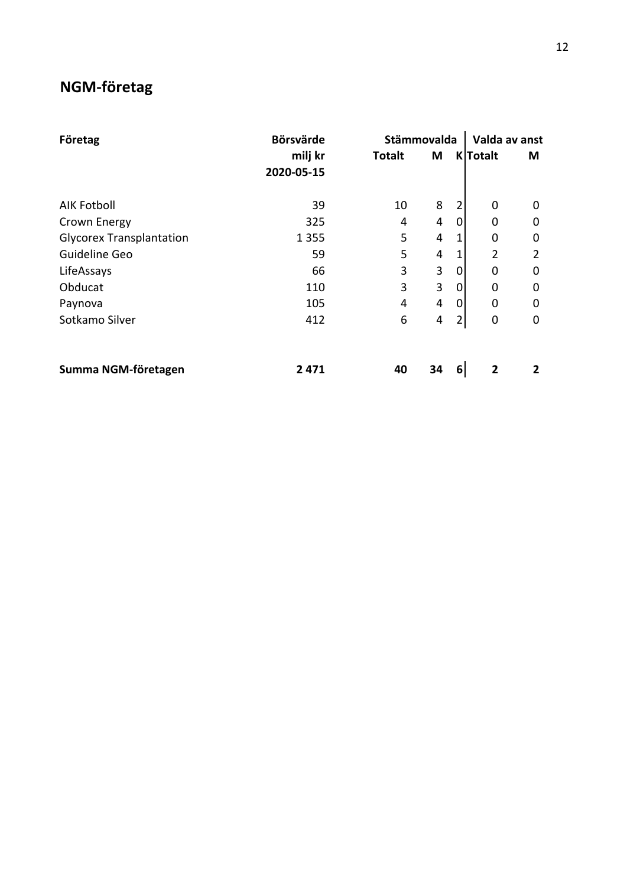### **NGM-företag**

| Företag                         | <b>Börsvärde</b>      |               | Stämmovalda |   | Valda av anst   |                |  |
|---------------------------------|-----------------------|---------------|-------------|---|-----------------|----------------|--|
|                                 | milj kr<br>2020-05-15 | <b>Totalt</b> | M           |   | <b>K</b> Totalt | M              |  |
| <b>AIK Fotboll</b>              | 39                    | 10            | 8           | 2 | 0               | 0              |  |
| Crown Energy                    | 325                   | 4             | 4           | 0 | 0               | 0              |  |
| <b>Glycorex Transplantation</b> | 1 3 5 5               | 5             | 4           |   | 0               | 0              |  |
| Guideline Geo                   | 59                    | 5             | 4           |   | 2               | $\overline{2}$ |  |
| LifeAssays                      | 66                    | 3             | 3           | 0 | 0               | 0              |  |
| Obducat                         | 110                   | 3             | 3           | 0 | 0               | 0              |  |
| Paynova                         | 105                   | 4             | 4           | 0 | 0               | 0              |  |
| Sotkamo Silver                  | 412                   | 6             | 4           | 2 | 0               | 0              |  |
| Summa NGM-företagen             | 2471                  | 40            | 34          | 6 | 2               | 2              |  |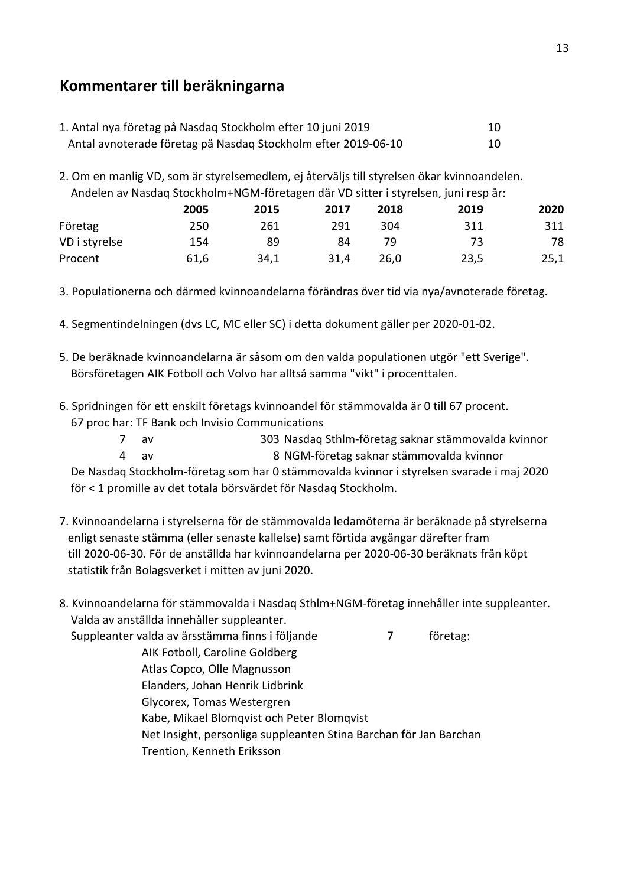### **Kommentarer till beräkningarna**

| 1. Antal nya företag på Nasdag Stockholm efter 10 juni 2019   |  |
|---------------------------------------------------------------|--|
| Antal avnoterade företag på Nasdag Stockholm efter 2019-06-10 |  |

2. Om en manlig VD, som är styrelsemedlem, ej återväljs till styrelsen ökar kvinnoandelen. Andelen av Nasdaq Stockholm+NGM-företagen där VD sitter i styrelsen, juni resp år:

|               | 2005 | 2015 | 2017 | 2018 | 2019 | 2020 |
|---------------|------|------|------|------|------|------|
| Företag       | 250  | 261  | 291  | 304  | 311  | 311  |
| VD i styrelse | 154  | 89   | 84   | 79   | 73   | 78   |
| Procent       | 61,6 | 34,1 | 31,4 | 26,0 | 23,5 | 25,1 |

3. Populationerna och därmed kvinnoandelarna förändras över tid via nya/avnoterade företag.

- 4. Segmentindelningen (dvs LC, MC eller SC) i detta dokument gäller per 2020-01-02.
- 5. De beräknade kvinnoandelarna är såsom om den valda populationen utgör "ett Sverige". Börsföretagen AIK Fotboll och Volvo har alltså samma "vikt" i procenttalen.
- 6. Spridningen för ett enskilt företags kvinnoandel för stämmovalda är 0 till 67 procent. 67 proc har: TF Bank och Invisio Communications
	- 7 av 303 Nasdaq Sthlm-företag saknar stämmovalda kvinnor
	- 4 av 8 NGM-företag saknar stämmovalda kvinnor

 De Nasdaq Stockholm-företag som har 0 stämmovalda kvinnor i styrelsen svarade i maj 2020 för < 1 promille av det totala börsvärdet för Nasdaq Stockholm.

7. Kvinnoandelarna i styrelserna för de stämmovalda ledamöterna är beräknade på styrelserna enligt senaste stämma (eller senaste kallelse) samt förtida avgångar därefter fram till 2020-06-30. För de anställda har kvinnoandelarna per 2020-06-30 beräknats från köpt statistik från Bolagsverket i mitten av juni 2020.

| 8. Kvinnoandelarna för stämmovalda i Nasdag Sthlm+NGM-företag innehåller inte suppleanter. |  |  |          |  |  |  |
|--------------------------------------------------------------------------------------------|--|--|----------|--|--|--|
| Valda av anställda innehåller suppleanter.                                                 |  |  |          |  |  |  |
| Suppleanter valda av årsstämma finns i följande                                            |  |  | företag: |  |  |  |
| AIK Fotboll, Caroline Goldberg                                                             |  |  |          |  |  |  |
| Atlas Copco, Olle Magnusson                                                                |  |  |          |  |  |  |
| Elanders, Johan Henrik Lidbrink                                                            |  |  |          |  |  |  |
| Glycorex, Tomas Westergren                                                                 |  |  |          |  |  |  |
| Kabe, Mikael Blomqvist och Peter Blomqvist                                                 |  |  |          |  |  |  |
| Net Insight, personliga suppleanten Stina Barchan för Jan Barchan                          |  |  |          |  |  |  |
| Trention, Kenneth Eriksson                                                                 |  |  |          |  |  |  |
|                                                                                            |  |  |          |  |  |  |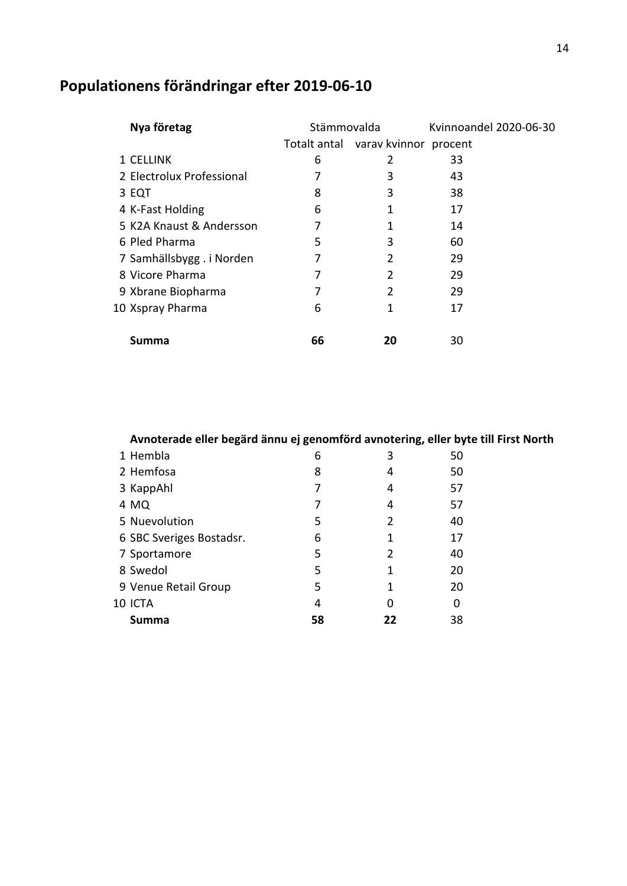| Nya företag               | Stämmovalda |                                    | Kvinnoandel 2020-06-30 |
|---------------------------|-------------|------------------------------------|------------------------|
|                           |             | Totalt antal varav kvinnor procent |                        |
| 1 CELLINK                 | 6           | 2                                  | 33                     |
| 2 Electrolux Professional | 7           | 3                                  | 43                     |
| 3 EQT                     | 8           | 3                                  | 38                     |
| 4 K-Fast Holding          | 6           | 1                                  | 17                     |
| 5 K2A Knaust & Andersson  | 7           | 1                                  | 14                     |
| 6 Pled Pharma             | 5           | 3                                  | 60                     |
| 7 Samhällsbygg. i Norden  | 7           | $\overline{2}$                     | 29                     |
| 8 Vicore Pharma           | 7           | 2                                  | 29                     |
| 9 Xbrane Biopharma        | 7           | 2                                  | 29                     |
| 10 Xspray Pharma          | 6           | 1                                  | 17                     |
| Summa                     | 66          | 20                                 | 30                     |

# **Populationens förändringar efter 2019-06-10**

| Avnoterade eller begärd ännu ej genomförd avnotering, eller byte till First North |  |  |  |
|-----------------------------------------------------------------------------------|--|--|--|
|                                                                                   |  |  |  |

| 1 Hembla                 | 6  | 3  | 50 |
|--------------------------|----|----|----|
| 2 Hemfosa                | 8  | 4  | 50 |
| 3 KappAhl                |    | 4  | 57 |
| 4 MQ                     |    | 4  | 57 |
| 5 Nuevolution            | 5  | 2  | 40 |
| 6 SBC Sveriges Bostadsr. | 6  | 1  | 17 |
| 7 Sportamore             | 5  | 2  | 40 |
| 8 Swedol                 | 5  | 1  | 20 |
| 9 Venue Retail Group     | 5  | 1  | 20 |
| 10 ICTA                  | 4  | O  | 0  |
| Summa                    | 58 | 22 | 38 |
|                          |    |    |    |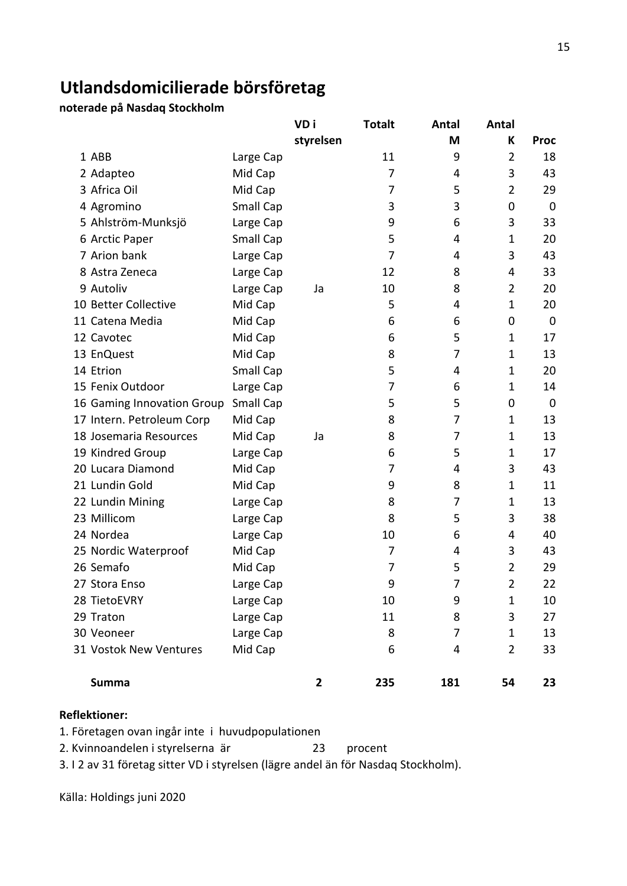### **Utlandsdomicilierade börsföretag**

**noterade på Nasdaq Stockholm**

|                            |           | VD i         | <b>Totalt</b> | Antal | Antal          |             |
|----------------------------|-----------|--------------|---------------|-------|----------------|-------------|
|                            |           | styrelsen    |               | Μ     | К              | <b>Proc</b> |
| 1 ABB                      | Large Cap |              | 11            | 9     | $\overline{2}$ | 18          |
| 2 Adapteo                  | Mid Cap   |              | 7             | 4     | 3              | 43          |
| 3 Africa Oil               | Mid Cap   |              | 7             | 5     | $\overline{2}$ | 29          |
| 4 Agromino                 | Small Cap |              | 3             | 3     | 0              | $\mathbf 0$ |
| 5 Ahlström-Munksjö         | Large Cap |              | 9             | 6     | 3              | 33          |
| 6 Arctic Paper             | Small Cap |              | 5             | 4     | $\mathbf 1$    | 20          |
| 7 Arion bank               | Large Cap |              | 7             | 4     | 3              | 43          |
| 8 Astra Zeneca             | Large Cap |              | 12            | 8     | 4              | 33          |
| 9 Autoliv                  | Large Cap | Ja           | 10            | 8     | $\overline{2}$ | 20          |
| 10 Better Collective       | Mid Cap   |              | 5             | 4     | $\mathbf 1$    | 20          |
| 11 Catena Media            | Mid Cap   |              | 6             | 6     | 0              | $\mathbf 0$ |
| 12 Cavotec                 | Mid Cap   |              | 6             | 5     | $\mathbf 1$    | 17          |
| 13 EnQuest                 | Mid Cap   |              | 8             | 7     | $\mathbf 1$    | 13          |
| 14 Etrion                  | Small Cap |              | 5             | 4     | 1              | 20          |
| 15 Fenix Outdoor           | Large Cap |              | 7             | 6     | $\mathbf 1$    | 14          |
| 16 Gaming Innovation Group | Small Cap |              | 5             | 5     | 0              | $\mathbf 0$ |
| 17 Intern. Petroleum Corp  | Mid Cap   |              | 8             | 7     | $\mathbf 1$    | 13          |
| 18 Josemaria Resources     | Mid Cap   | Ja           | 8             | 7     | 1              | 13          |
| 19 Kindred Group           | Large Cap |              | 6             | 5     | 1              | 17          |
| 20 Lucara Diamond          | Mid Cap   |              | 7             | 4     | 3              | 43          |
| 21 Lundin Gold             | Mid Cap   |              | 9             | 8     | 1              | 11          |
| 22 Lundin Mining           | Large Cap |              | 8             | 7     | $\mathbf 1$    | 13          |
| 23 Millicom                | Large Cap |              | 8             | 5     | 3              | 38          |
| 24 Nordea                  | Large Cap |              | 10            | 6     | 4              | 40          |
| 25 Nordic Waterproof       | Mid Cap   |              | 7             | 4     | 3              | 43          |
| 26 Semafo                  | Mid Cap   |              | 7             | 5     | $\overline{2}$ | 29          |
| 27 Stora Enso              | Large Cap |              | 9             | 7     | $\overline{2}$ | 22          |
| 28 TietoEVRY               | Large Cap |              | 10            | 9     | $\mathbf{1}$   | 10          |
| 29 Traton                  | Large Cap |              | 11            | 8     | 3              | 27          |
| 30 Veoneer                 | Large Cap |              | 8             | 7     | $\mathbf{1}$   | 13          |
| 31 Vostok New Ventures     | Mid Cap   |              | 6             | 4     | $\overline{2}$ | 33          |
| <b>Summa</b>               |           | $\mathbf{2}$ | 235           | 181   | 54             | 23          |

#### **Reflektioner:**

1. Företagen ovan ingår inte i huvudpopulationen

2. Kvinnoandelen i styrelserna är 23 procent

3. I 2 av 31 företag sitter VD i styrelsen (lägre andel än för Nasdaq Stockholm).

Källa: Holdings juni 2020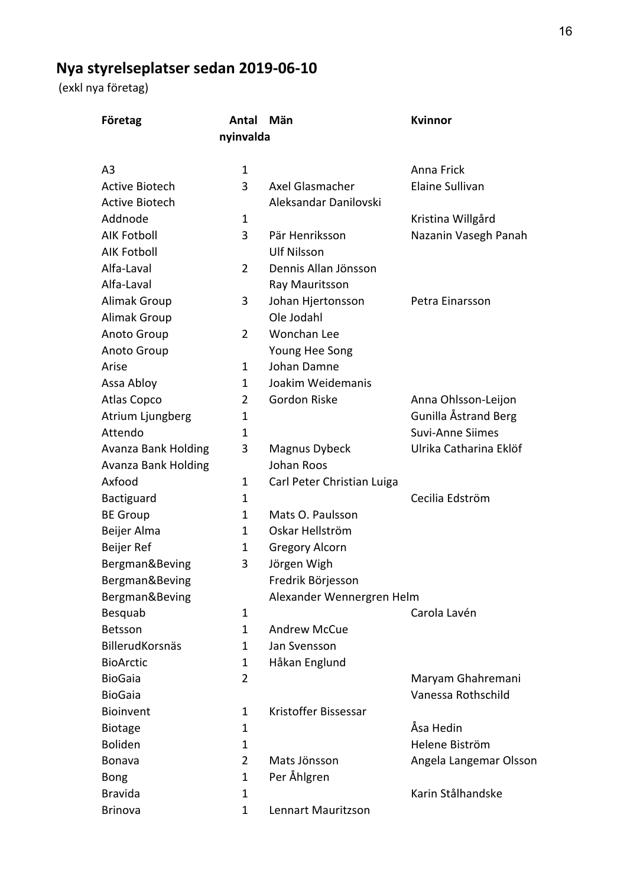# **Nya styrelseplatser sedan 2019-06-10**

(exkl nya företag)

| Företag               | Antal<br>nyinvalda | Män                        | <b>Kvinnor</b>          |
|-----------------------|--------------------|----------------------------|-------------------------|
| A <sub>3</sub>        | 1                  |                            | Anna Frick              |
| <b>Active Biotech</b> | 3                  | Axel Glasmacher            | Elaine Sullivan         |
| <b>Active Biotech</b> |                    | Aleksandar Danilovski      |                         |
| Addnode               | 1                  |                            | Kristina Willgård       |
| <b>AIK Fotboll</b>    | 3                  | Pär Henriksson             | Nazanin Vasegh Panah    |
| <b>AIK Fotboll</b>    |                    | <b>Ulf Nilsson</b>         |                         |
| Alfa-Laval            | $\overline{2}$     | Dennis Allan Jönsson       |                         |
| Alfa-Laval            |                    | Ray Mauritsson             |                         |
| <b>Alimak Group</b>   | 3                  | Johan Hjertonsson          | Petra Einarsson         |
| <b>Alimak Group</b>   |                    | Ole Jodahl                 |                         |
| Anoto Group           | $\overline{2}$     | Wonchan Lee                |                         |
| Anoto Group           |                    | Young Hee Song             |                         |
| Arise                 | 1                  | Johan Damne                |                         |
| Assa Abloy            | $\mathbf{1}$       | Joakim Weidemanis          |                         |
| <b>Atlas Copco</b>    | 2                  | <b>Gordon Riske</b>        | Anna Ohlsson-Leijon     |
| Atrium Ljungberg      | 1                  |                            | Gunilla Åstrand Berg    |
| Attendo               | 1                  |                            | <b>Suvi-Anne Siimes</b> |
| Avanza Bank Holding   | 3                  | Magnus Dybeck              | Ulrika Catharina Eklöf  |
| Avanza Bank Holding   |                    | Johan Roos                 |                         |
| Axfood                | 1                  | Carl Peter Christian Luiga |                         |
| Bactiguard            | 1                  |                            | Cecilia Edström         |
| <b>BE Group</b>       | 1                  | Mats O. Paulsson           |                         |
| Beijer Alma           | 1                  | Oskar Hellström            |                         |
| Beijer Ref            | 1                  | <b>Gregory Alcorn</b>      |                         |
| Bergman&Beving        | 3                  | Jörgen Wigh                |                         |
| Bergman&Beving        |                    | Fredrik Börjesson          |                         |
| Bergman&Beving        |                    | Alexander Wennergren Helm  |                         |
| Besquab               | 1                  |                            | Carola Lavén            |
| <b>Betsson</b>        | $\mathbf{1}$       | <b>Andrew McCue</b>        |                         |
| BillerudKorsnäs       | 1                  | Jan Svensson               |                         |
| <b>BioArctic</b>      | 1                  | Håkan Englund              |                         |
| <b>BioGaia</b>        | $\overline{2}$     |                            | Maryam Ghahremani       |
| <b>BioGaia</b>        |                    |                            | Vanessa Rothschild      |
| Bioinvent             | 1                  | Kristoffer Bissessar       |                         |
| <b>Biotage</b>        | 1                  |                            | Åsa Hedin               |
| <b>Boliden</b>        | 1                  |                            | Helene Biström          |
| <b>Bonava</b>         | $\overline{2}$     | Mats Jönsson               | Angela Langemar Olsson  |
| Bong                  | 1                  | Per Åhlgren                |                         |
| <b>Bravida</b>        | $\mathbf{1}$       |                            | Karin Stålhandske       |
| <b>Brinova</b>        | $\mathbf 1$        | Lennart Mauritzson         |                         |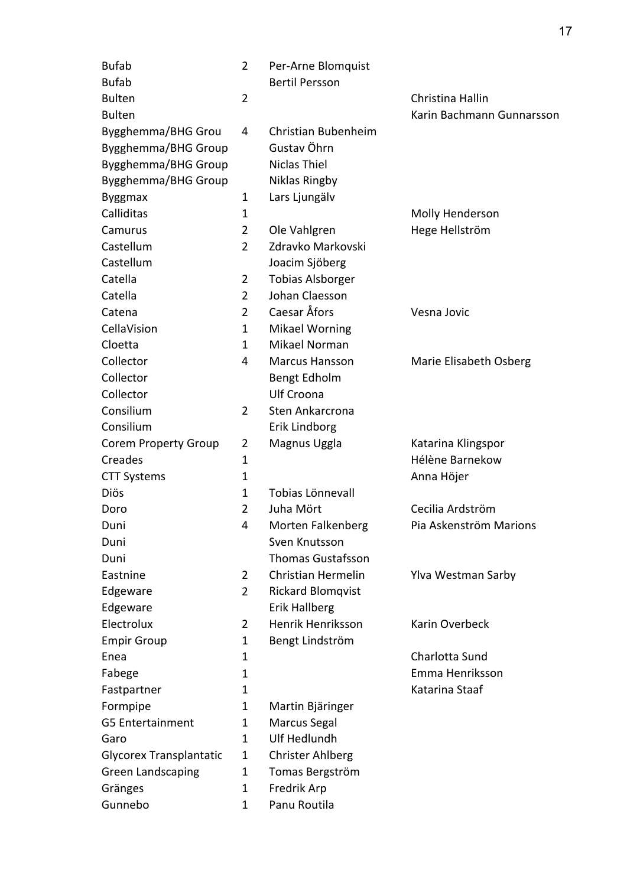| <b>Bufab</b>                   | $\overline{2}$ | Per-Arne Blomquist       |                           |
|--------------------------------|----------------|--------------------------|---------------------------|
| <b>Bufab</b>                   |                | <b>Bertil Persson</b>    |                           |
| <b>Bulten</b>                  | $\overline{2}$ |                          | Christina Hallin          |
| <b>Bulten</b>                  |                |                          | Karin Bachmann Gunnarsson |
| Bygghemma/BHG Grou             | 4              | Christian Bubenheim      |                           |
| Bygghemma/BHG Group            |                | Gustav Öhrn              |                           |
| Bygghemma/BHG Group            |                | <b>Niclas Thiel</b>      |                           |
| Bygghemma/BHG Group            |                | Niklas Ringby            |                           |
| <b>Byggmax</b>                 | 1              | Lars Ljungälv            |                           |
| Calliditas                     | 1              |                          | Molly Henderson           |
| Camurus                        | $\overline{2}$ | Ole Vahlgren             | Hege Hellström            |
| Castellum                      | $\overline{2}$ | Zdravko Markovski        |                           |
| Castellum                      |                | Joacim Sjöberg           |                           |
| Catella                        | $\overline{2}$ | <b>Tobias Alsborger</b>  |                           |
| Catella                        | $\overline{2}$ | Johan Claesson           |                           |
| Catena                         | $\overline{2}$ | Caesar Åfors             | Vesna Jovic               |
| CellaVision                    | $\mathbf{1}$   | <b>Mikael Worning</b>    |                           |
| Cloetta                        | $\mathbf{1}$   | Mikael Norman            |                           |
| Collector                      | 4              | <b>Marcus Hansson</b>    | Marie Elisabeth Osberg    |
| Collector                      |                | Bengt Edholm             |                           |
| Collector                      |                | Ulf Croona               |                           |
| Consilium                      | $\overline{2}$ | Sten Ankarcrona          |                           |
| Consilium                      |                | Erik Lindborg            |                           |
| <b>Corem Property Group</b>    | $\overline{2}$ | Magnus Uggla             | Katarina Klingspor        |
| Creades                        | 1              |                          | Hélène Barnekow           |
| <b>CTT Systems</b>             | $\mathbf 1$    |                          | Anna Höjer                |
| Diös                           | 1              | Tobias Lönnevall         |                           |
| Doro                           | $\overline{2}$ | Juha Mört                | Cecilia Ardström          |
| Duni                           | 4              | Morten Falkenberg        | Pia Askenström Marions    |
| Duni                           |                | Sven Knutsson            |                           |
| Duni                           |                | <b>Thomas Gustafsson</b> |                           |
| Eastnine                       | $\overline{2}$ | Christian Hermelin       | Ylva Westman Sarby        |
| Edgeware                       | $\overline{2}$ | <b>Rickard Blomqvist</b> |                           |
| Edgeware                       |                | <b>Erik Hallberg</b>     |                           |
| Electrolux                     | $\overline{2}$ | Henrik Henriksson        | Karin Overbeck            |
| <b>Empir Group</b>             | 1              | Bengt Lindström          |                           |
| Enea                           | 1              |                          | Charlotta Sund            |
| Fabege                         | 1              |                          | Emma Henriksson           |
| Fastpartner                    | 1              |                          | Katarina Staaf            |
| Formpipe                       | 1              | Martin Bjäringer         |                           |
| <b>G5 Entertainment</b>        | 1              | Marcus Segal             |                           |
| Garo                           | 1              | Ulf Hedlundh             |                           |
| <b>Glycorex Transplantatic</b> | 1              | <b>Christer Ahlberg</b>  |                           |
| <b>Green Landscaping</b>       | 1              | Tomas Bergström          |                           |
| Gränges                        | 1              | Fredrik Arp              |                           |
| Gunnebo                        | 1              | Panu Routila             |                           |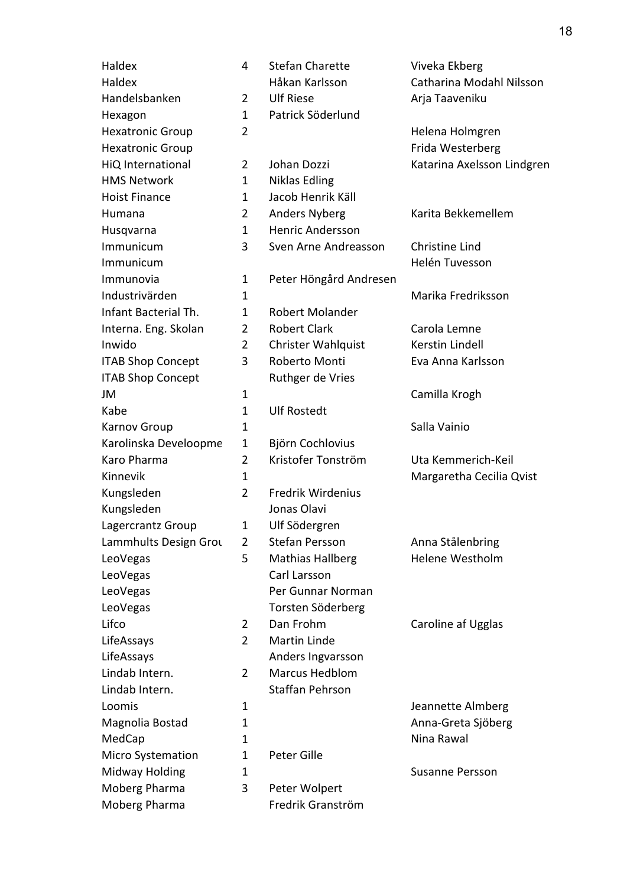Haldex 4 Stefan Charette Viveka Ekberg Haldex Håkan Karlsson Catharina Modahl Nilsson Handelsbanken 2 Ulf Riese Arja Taaveniku Hexagon 1 Patrick Söderlund Hexatronic Group 2 2 Helena Holmgren Hexatronic Group **Frida Westerberg Frida Westerberg** HiQ International 2 Johan Dozzi Katarina Axelsson Lindgren HMS Network 1 Niklas Edling Hoist Finance 1 Jacob Henrik Käll Humana 2 Anders Nyberg Karita Bekkemellem Husqvarna 1 Henric Andersson Immunicum 3 Sven Arne Andreasson Christine Lind Immunicum Helén Tuvesson Immunovia 1 Peter Höngård Andresen Industrivärden 1 Marika Fredriksson Infant Bacterial Th. 1 Robert Molander Interna. Eng. Skolan 2 Robert Clark Carola Lemne Inwido 2 Christer Wahlquist Kerstin Lindell ITAB Shop Concept 3 Roberto Monti Eva Anna Karlsson ITAB Shop Concept Ruthger de Vries JM 2 1 Camilla Krogh Kabe 1 Ulf Rostedt Karnov Group 1 1 Salla Vainio Karolinska Develoopme 1 Björn Cochlovius Karo Pharma 2 Kristofer Tonström Uta Kemmerich-Keil Kinnevik 1 1 Margaretha Cecilia Qvist Kungsleden 2 Fredrik Wirdenius Kungsleden Jonas Olavi Lagercrantz Group 1 Ulf Södergren Lammhults Design Grou 2 Stefan Persson Anna Stålenbring LeoVegas 5 Mathias Hallberg Helene Westholm LeoVegas Carl Larsson LeoVegas **Per Gunnar Norman** LeoVegas Torsten Söderberg Lifco 2 Dan Frohm Caroline af Ugglas LifeAssays 2 Martin Linde LifeAssays **Anders Ingvarsson** Lindab Intern. 2 Marcus Hedblom Lindab Intern. Staffan Pehrson Loomis 1 1 1 Jeannette Almberg Magnolia Bostad 1 annual 1 Anna-Greta Sjöberg MedCap 1 1 1 Nina Rawal Micro Systemation 1 Peter Gille Midway Holding 1 1 and 1 Susanne Persson Moberg Pharma 3 Peter Wolpert Moberg Pharma Fredrik Granström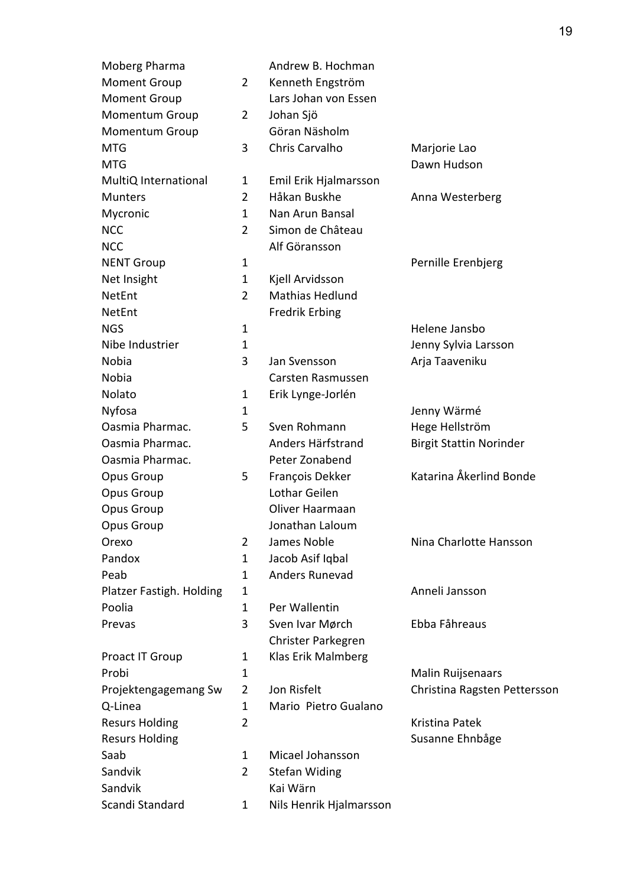| Moberg Pharma            |                | Andrew B. Hochman       |                                |
|--------------------------|----------------|-------------------------|--------------------------------|
| <b>Moment Group</b>      | 2              | Kenneth Engström        |                                |
| <b>Moment Group</b>      |                | Lars Johan von Essen    |                                |
| Momentum Group           | $\overline{2}$ | Johan Sjö               |                                |
| <b>Momentum Group</b>    |                | Göran Näsholm           |                                |
| <b>MTG</b>               | 3              | Chris Carvalho          | Marjorie Lao                   |
| <b>MTG</b>               |                |                         | Dawn Hudson                    |
| MultiQ International     | 1              | Emil Erik Hjalmarsson   |                                |
| <b>Munters</b>           | $\overline{2}$ | Håkan Buskhe            | Anna Westerberg                |
| Mycronic                 | 1              | Nan Arun Bansal         |                                |
| <b>NCC</b>               | $\overline{2}$ | Simon de Château        |                                |
| <b>NCC</b>               |                | Alf Göransson           |                                |
| <b>NENT Group</b>        | 1              |                         | Pernille Erenbjerg             |
| Net Insight              | 1              | Kjell Arvidsson         |                                |
| NetEnt                   | $\overline{2}$ | Mathias Hedlund         |                                |
| NetEnt                   |                | <b>Fredrik Erbing</b>   |                                |
| <b>NGS</b>               | 1              |                         | Helene Jansbo                  |
| Nibe Industrier          | 1              |                         | Jenny Sylvia Larsson           |
| Nobia                    | 3              | Jan Svensson            | Arja Taaveniku                 |
| Nobia                    |                | Carsten Rasmussen       |                                |
| Nolato                   | 1              | Erik Lynge-Jorlén       |                                |
| Nyfosa                   | 1              |                         | Jenny Wärmé                    |
| Oasmia Pharmac.          | 5              | Sven Rohmann            | Hege Hellström                 |
| Oasmia Pharmac.          |                | Anders Härfstrand       | <b>Birgit Stattin Norinder</b> |
| Oasmia Pharmac.          |                | Peter Zonabend          |                                |
| Opus Group               | 5              | François Dekker         | Katarina Åkerlind Bonde        |
| Opus Group               |                | Lothar Geilen           |                                |
| Opus Group               |                | Oliver Haarmaan         |                                |
| Opus Group               |                | Jonathan Laloum         |                                |
| Orexo                    | 2              | James Noble             | Nina Charlotte Hansson         |
| Pandox                   | $\mathbf 1$    | Jacob Asif Iqbal        |                                |
| Peab                     | 1              | Anders Runevad          |                                |
| Platzer Fastigh. Holding | 1              |                         | Anneli Jansson                 |
| Poolia                   | 1              | Per Wallentin           |                                |
| Prevas                   | 3              | Sven Ivar Mørch         | Ebba Fåhreaus                  |
|                          |                | Christer Parkegren      |                                |
| Proact IT Group          | 1              | Klas Erik Malmberg      |                                |
| Probi                    | $\mathbf 1$    |                         | Malin Ruijsenaars              |
| Projektengagemang Sw     | $\overline{2}$ | Jon Risfelt             | Christina Ragsten Pettersson   |
| Q-Linea                  | $\mathbf 1$    | Mario Pietro Gualano    |                                |
| <b>Resurs Holding</b>    | $\overline{2}$ |                         | Kristina Patek                 |
| <b>Resurs Holding</b>    |                |                         | Susanne Ehnbåge                |
| Saab                     | 1              | Micael Johansson        |                                |
| Sandvik                  | 2              | <b>Stefan Widing</b>    |                                |
| Sandvik                  |                | Kai Wärn                |                                |
| Scandi Standard          | 1              | Nils Henrik Hjalmarsson |                                |
|                          |                |                         |                                |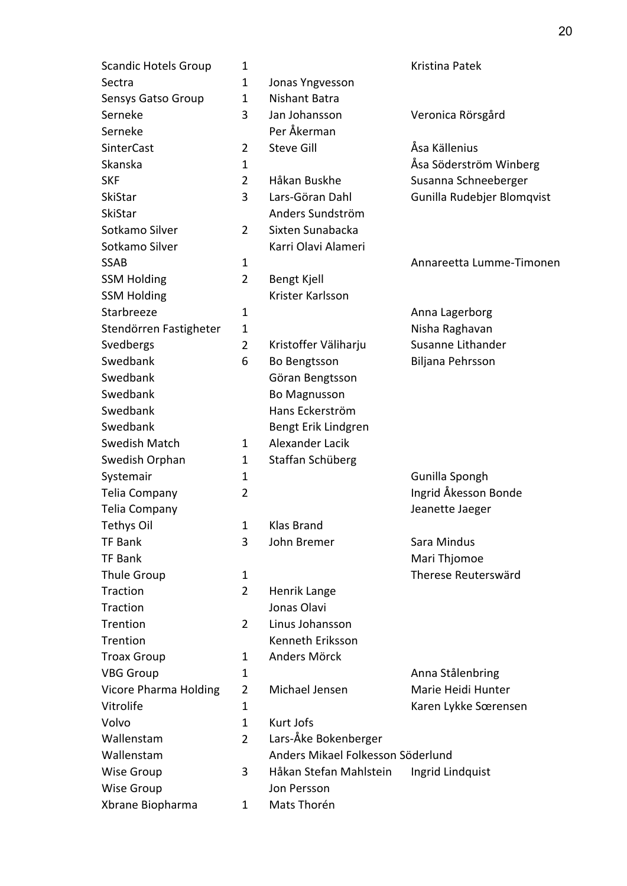| <b>Scandic Hotels Group</b> | 1              |                                   | Kristina Patek             |
|-----------------------------|----------------|-----------------------------------|----------------------------|
| Sectra                      | 1              | Jonas Yngvesson                   |                            |
| Sensys Gatso Group          | $\mathbf{1}$   | <b>Nishant Batra</b>              |                            |
| Serneke                     | 3              | Jan Johansson                     | Veronica Rörsgård          |
| Serneke                     |                | Per Åkerman                       |                            |
| <b>SinterCast</b>           | $\overline{2}$ | <b>Steve Gill</b>                 | Åsa Källenius              |
| Skanska                     | $\mathbf 1$    |                                   | Åsa Söderström Winberg     |
| <b>SKF</b>                  | 2              | Håkan Buskhe                      | Susanna Schneeberger       |
| SkiStar                     | 3              | Lars-Göran Dahl                   | Gunilla Rudebjer Blomqvist |
| <b>SkiStar</b>              |                | Anders Sundström                  |                            |
| Sotkamo Silver              | 2              | Sixten Sunabacka                  |                            |
| Sotkamo Silver              |                | Karri Olavi Alameri               |                            |
| <b>SSAB</b>                 | 1              |                                   | Annareetta Lumme-Timonen   |
| <b>SSM Holding</b>          | $\overline{2}$ | Bengt Kjell                       |                            |
| <b>SSM Holding</b>          |                | Krister Karlsson                  |                            |
| Starbreeze                  | $\mathbf 1$    |                                   | Anna Lagerborg             |
| Stendörren Fastigheter      | $\mathbf 1$    |                                   | Nisha Raghavan             |
| Svedbergs                   | 2              | Kristoffer Väliharju              | Susanne Lithander          |
| Swedbank                    | 6              | Bo Bengtsson                      | Biljana Pehrsson           |
| Swedbank                    |                | Göran Bengtsson                   |                            |
| Swedbank                    |                | <b>Bo Magnusson</b>               |                            |
| Swedbank                    |                | Hans Eckerström                   |                            |
| Swedbank                    |                | Bengt Erik Lindgren               |                            |
| <b>Swedish Match</b>        | $\mathbf{1}$   | Alexander Lacik                   |                            |
| Swedish Orphan              | 1              | Staffan Schüberg                  |                            |
| Systemair                   | 1              |                                   | Gunilla Spongh             |
| Telia Company               | 2              |                                   | Ingrid Åkesson Bonde       |
| Telia Company               |                |                                   | Jeanette Jaeger            |
| <b>Tethys Oil</b>           | 1              | Klas Brand                        |                            |
| TF Bank                     | 3              | John Bremer                       | Sara Mindus                |
| <b>TF Bank</b>              |                |                                   | Mari Thjomoe               |
| <b>Thule Group</b>          | 1              |                                   | Therese Reuterswärd        |
| <b>Traction</b>             | $\overline{2}$ | Henrik Lange                      |                            |
| <b>Traction</b>             |                | Jonas Olavi                       |                            |
| Trention                    | 2              | Linus Johansson                   |                            |
| <b>Trention</b>             |                | Kenneth Eriksson                  |                            |
| <b>Troax Group</b>          | 1              | Anders Mörck                      |                            |
| <b>VBG Group</b>            | 1              |                                   | Anna Stålenbring           |
| Vicore Pharma Holding       | 2              | Michael Jensen                    | Marie Heidi Hunter         |
| Vitrolife                   | 1              |                                   | Karen Lykke Sœrensen       |
| Volvo                       | $\mathbf 1$    | Kurt Jofs                         |                            |
| Wallenstam                  | $\overline{2}$ | Lars-Åke Bokenberger              |                            |
| Wallenstam                  |                | Anders Mikael Folkesson Söderlund |                            |
| <b>Wise Group</b>           | 3              | Håkan Stefan Mahlstein            | Ingrid Lindquist           |
| <b>Wise Group</b>           |                | Jon Persson                       |                            |
| Xbrane Biopharma            | 1              | Mats Thorén                       |                            |
|                             |                |                                   |                            |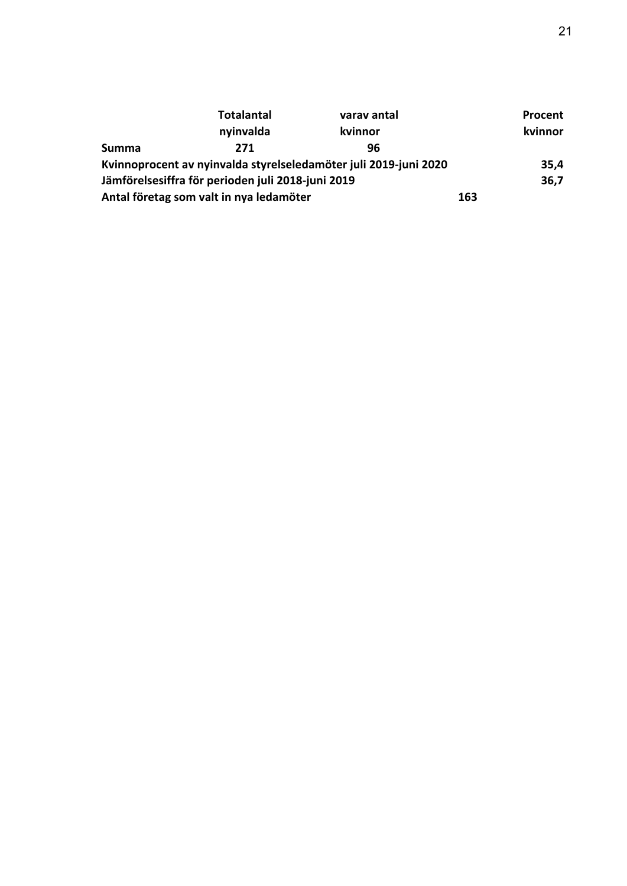|       | <b>Totalantal</b>                                 | varav antal                                                      |     | Procent |
|-------|---------------------------------------------------|------------------------------------------------------------------|-----|---------|
|       | nyinvalda                                         | kvinnor                                                          |     | kvinnor |
| Summa | 271                                               | 96                                                               |     |         |
|       |                                                   | Kvinnoprocent av nyinvalda styrelseledamöter juli 2019-juni 2020 |     | 35,4    |
|       | Jämförelsesiffra för perioden juli 2018-juni 2019 |                                                                  |     | 36,7    |
|       | Antal företag som valt in nya ledamöter           |                                                                  | 163 |         |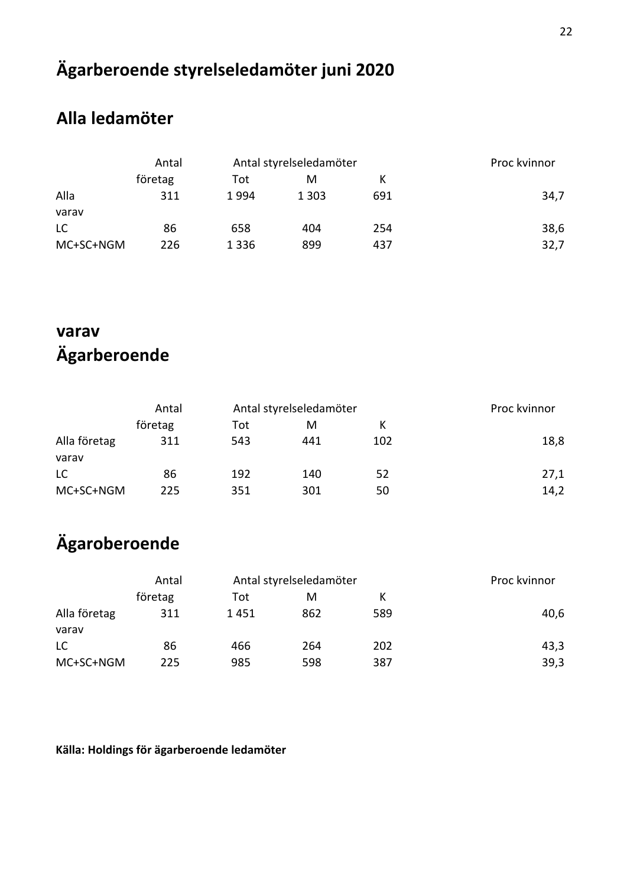# **Ägarberoende styrelseledamöter juni 2020**

### **Alla ledamöter**

|           | Antal   | Antal styrelseledamöter |         |     | Proc kvinnor |
|-----------|---------|-------------------------|---------|-----|--------------|
|           | företag | Tot                     | М       |     |              |
| Alla      | 311     | 1994                    | 1 3 0 3 | 691 | 34,7         |
| varav     |         |                         |         |     |              |
| LC.       | 86      | 658                     | 404     | 254 | 38,6         |
| MC+SC+NGM | 226     | 1 3 3 6                 | 899     | 437 | 32,7         |

## **varav Ägarberoende**

|              | Antal   | Antal styrelseledamöter |     |     | Proc kvinnor |
|--------------|---------|-------------------------|-----|-----|--------------|
|              | företag | Tot                     | м   |     |              |
| Alla företag | 311     | 543                     | 441 | 102 | 18,8         |
| varav        |         |                         |     |     |              |
| LC           | 86      | 192                     | 140 | 52  | 27,1         |
| MC+SC+NGM    | 225     | 351                     | 301 | 50  | 14,2         |

## **Ägaroberoende**

|                       | Antal   | Antal styrelseledamöter |     |     | Proc kvinnor |
|-----------------------|---------|-------------------------|-----|-----|--------------|
|                       | företag | Tot                     | М   |     |              |
| Alla företag<br>varav | 311     | 1451                    | 862 | 589 | 40,6         |
| LC                    | 86      | 466                     | 264 | 202 | 43,3         |
| MC+SC+NGM             | 225     | 985                     | 598 | 387 | 39,3         |

### **Källa: Holdings för ägarberoende ledamöter**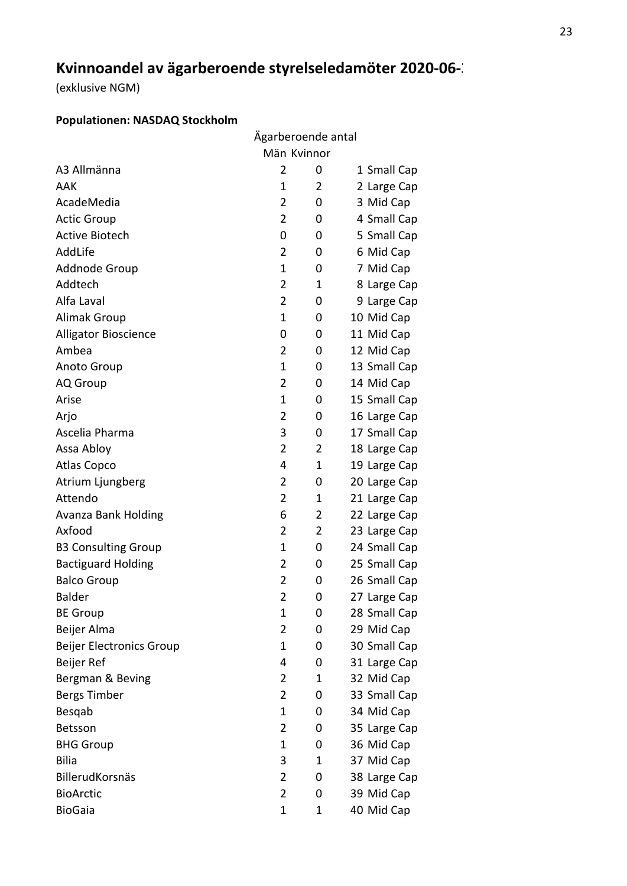## **Kvinnoandel av ägarberoende styrelseledamöter 2020-06-30**

(exklusive NGM)

### **Populationen: NASDAQ Stockholm**

|                                 | Ägarberoende antal |             |              |  |
|---------------------------------|--------------------|-------------|--------------|--|
|                                 | Män Kvinnor        |             |              |  |
| A3 Allmänna                     | $\overline{2}$     | 0           | 1 Small Cap  |  |
| AAK                             | 1                  | 2           | 2 Large Cap  |  |
| AcadeMedia                      | 2                  | 0           | 3 Mid Cap    |  |
| <b>Actic Group</b>              | $\overline{2}$     | 0           | 4 Small Cap  |  |
| <b>Active Biotech</b>           | 0                  | 0           | 5 Small Cap  |  |
| AddLife                         | 2                  | 0           | 6 Mid Cap    |  |
| Addnode Group                   | 1                  | 0           | 7 Mid Cap    |  |
| Addtech                         | $\overline{2}$     | $\mathbf 1$ | 8 Large Cap  |  |
| Alfa Laval                      | $\overline{2}$     | 0           | 9 Large Cap  |  |
| <b>Alimak Group</b>             | 1                  | 0           | 10 Mid Cap   |  |
| Alligator Bioscience            | 0                  | 0           | 11 Mid Cap   |  |
| Ambea                           | 2                  | 0           | 12 Mid Cap   |  |
| <b>Anoto Group</b>              | 1                  | 0           | 13 Small Cap |  |
| <b>AQ</b> Group                 | $\overline{2}$     | 0           | 14 Mid Cap   |  |
| Arise                           | 1                  | 0           | 15 Small Cap |  |
| Arjo                            | 2                  | 0           | 16 Large Cap |  |
| Ascelia Pharma                  | 3                  | 0           | 17 Small Cap |  |
| Assa Abloy                      | $\overline{2}$     | 2           | 18 Large Cap |  |
| <b>Atlas Copco</b>              | 4                  | 1           | 19 Large Cap |  |
| Atrium Ljungberg                | $\overline{2}$     | 0           | 20 Large Cap |  |
| Attendo                         | $\overline{2}$     | 1           | 21 Large Cap |  |
| Avanza Bank Holding             | 6                  | 2           | 22 Large Cap |  |
| Axfood                          | 2                  | 2           | 23 Large Cap |  |
| <b>B3 Consulting Group</b>      | $\mathbf 1$        | 0           | 24 Small Cap |  |
| <b>Bactiguard Holding</b>       | $\overline{2}$     | 0           | 25 Small Cap |  |
| <b>Balco Group</b>              | $\overline{2}$     | 0           | 26 Small Cap |  |
| <b>Balder</b>                   | $\overline{2}$     | 0           | 27 Large Cap |  |
| <b>BE Group</b>                 | 1                  | 0           | 28 Small Cap |  |
| Beijer Alma                     | $\overline{2}$     | 0           | 29 Mid Cap   |  |
| <b>Beijer Electronics Group</b> | 1                  | 0           | 30 Small Cap |  |
| Beijer Ref                      | 4                  | 0           | 31 Large Cap |  |
| Bergman & Beving                | $\overline{2}$     | 1           | 32 Mid Cap   |  |
| Bergs Timber                    | $\overline{2}$     | 0           | 33 Small Cap |  |
| Besqab                          | 1                  | 0           | 34 Mid Cap   |  |
| Betsson                         | $\overline{2}$     | 0           | 35 Large Cap |  |
| <b>BHG Group</b>                | 1                  | 0           | 36 Mid Cap   |  |
| <b>Bilia</b>                    | 3                  | 1           | 37 Mid Cap   |  |
| BillerudKorsnäs                 | $\overline{2}$     | 0           | 38 Large Cap |  |
| <b>BioArctic</b>                | $\overline{2}$     | 0           | 39 Mid Cap   |  |
| <b>BioGaia</b>                  | $\mathbf 1$        | 1           | 40 Mid Cap   |  |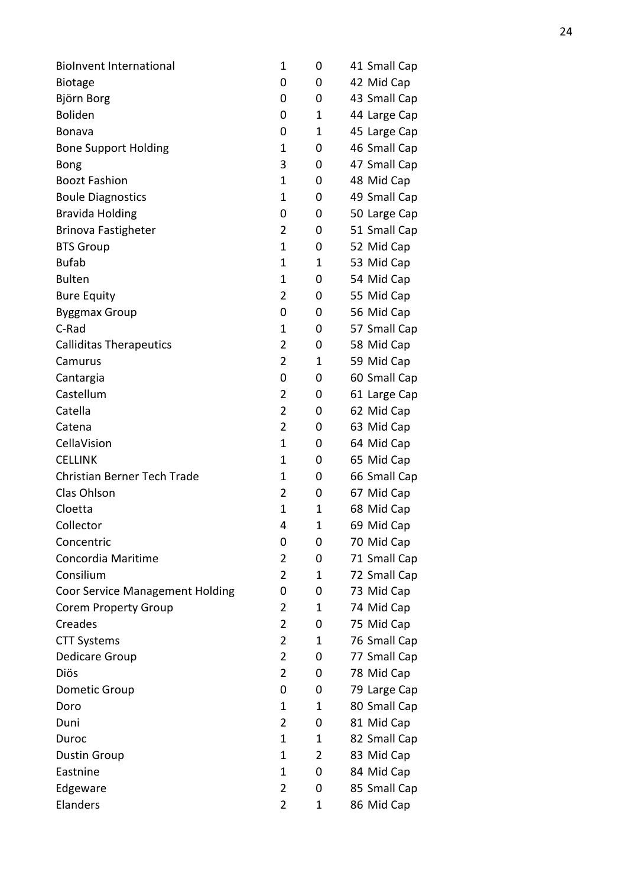| <b>Biolnvent International</b>         | 1              | 0           | 41 Small Cap |
|----------------------------------------|----------------|-------------|--------------|
| <b>Biotage</b>                         | 0              | 0           | 42 Mid Cap   |
| Björn Borg                             | 0              | 0           | 43 Small Cap |
| <b>Boliden</b>                         | 0              | $\mathbf 1$ | 44 Large Cap |
| Bonava                                 | 0              | 1           | 45 Large Cap |
| <b>Bone Support Holding</b>            | 1              | 0           | 46 Small Cap |
| <b>Bong</b>                            | 3              | 0           | 47 Small Cap |
| <b>Boozt Fashion</b>                   | 1              | 0           | 48 Mid Cap   |
| <b>Boule Diagnostics</b>               | $\mathbf 1$    | 0           | 49 Small Cap |
| <b>Bravida Holding</b>                 | 0              | 0           | 50 Large Cap |
| <b>Brinova Fastigheter</b>             | 2              | 0           | 51 Small Cap |
| <b>BTS Group</b>                       | 1              | 0           | 52 Mid Cap   |
| <b>Bufab</b>                           | 1              | 1           | 53 Mid Cap   |
| <b>Bulten</b>                          | 1              | 0           | 54 Mid Cap   |
| <b>Bure Equity</b>                     | 2              | 0           | 55 Mid Cap   |
| <b>Byggmax Group</b>                   | 0              | 0           | 56 Mid Cap   |
| C-Rad                                  | 1              | 0           | 57 Small Cap |
| <b>Calliditas Therapeutics</b>         | $\overline{2}$ | 0           | 58 Mid Cap   |
| Camurus                                | $\overline{2}$ | $\mathbf 1$ | 59 Mid Cap   |
| Cantargia                              | 0              | 0           | 60 Small Cap |
| Castellum                              | $\overline{2}$ | 0           | 61 Large Cap |
| Catella                                | $\overline{2}$ | 0           | 62 Mid Cap   |
| Catena                                 | $\overline{2}$ | 0           | 63 Mid Cap   |
| CellaVision                            | $\mathbf 1$    | 0           | 64 Mid Cap   |
| <b>CELLINK</b>                         | 1              | 0           | 65 Mid Cap   |
| <b>Christian Berner Tech Trade</b>     | 1              | 0           | 66 Small Cap |
| Clas Ohlson                            | $\overline{2}$ | 0           | 67 Mid Cap   |
| Cloetta                                | 1              | 1           | 68 Mid Cap   |
| Collector                              | 4              | 1           | 69 Mid Cap   |
| Concentric                             | 0              | 0           | 70 Mid Cap   |
| Concordia Maritime                     | 2              | 0           | 71 Small Cap |
| Consilium                              | $\overline{2}$ | 1           | 72 Small Cap |
| <b>Coor Service Management Holding</b> | 0              | 0           | 73 Mid Cap   |
| <b>Corem Property Group</b>            | 2              | 1           | 74 Mid Cap   |
| Creades                                | 2              | 0           | 75 Mid Cap   |
| <b>CTT Systems</b>                     | 2              | 1           | 76 Small Cap |
| Dedicare Group                         | $\overline{2}$ | 0           | 77 Small Cap |
| Diös                                   | $\overline{2}$ | 0           | 78 Mid Cap   |
| Dometic Group                          | 0              | 0           | 79 Large Cap |
| Doro                                   | 1              | 1           | 80 Small Cap |
| Duni                                   | 2              | 0           | 81 Mid Cap   |
| Duroc                                  | 1              | 1           | 82 Small Cap |
| Dustin Group                           | 1              | 2           | 83 Mid Cap   |
| Eastnine                               | 1              | 0           | 84 Mid Cap   |
| Edgeware                               | 2              | 0           | 85 Small Cap |
| Elanders                               | 2              | 1           | 86 Mid Cap   |
|                                        |                |             |              |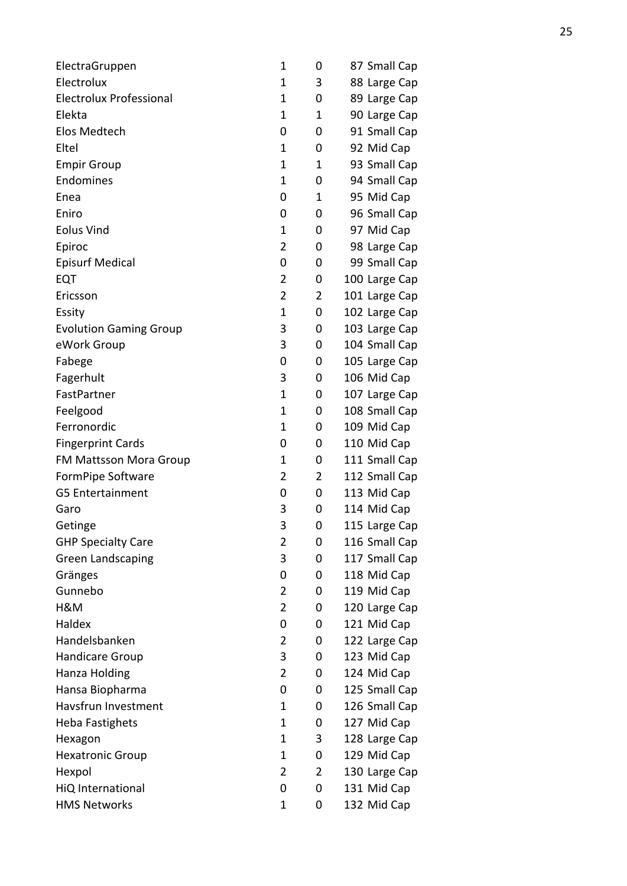| ElectraGruppen                 | 1              | 0              | 87 Small Cap  |
|--------------------------------|----------------|----------------|---------------|
| Electrolux                     | 1              | 3              | 88 Large Cap  |
| <b>Electrolux Professional</b> | 1              | 0              | 89 Large Cap  |
| Elekta                         | $\mathbf 1$    | 1              | 90 Large Cap  |
| Elos Medtech                   | 0              | 0              | 91 Small Cap  |
| Eltel                          | 1              | 0              | 92 Mid Cap    |
| <b>Empir Group</b>             | 1              | 1              | 93 Small Cap  |
| Endomines                      | 1              | 0              | 94 Small Cap  |
| Enea                           | 0              | 1              | 95 Mid Cap    |
| Eniro                          | 0              | 0              | 96 Small Cap  |
| <b>Eolus Vind</b>              | 1              | 0              | 97 Mid Cap    |
| Epiroc                         | $\overline{2}$ | 0              | 98 Large Cap  |
| <b>Episurf Medical</b>         | 0              | 0              | 99 Small Cap  |
| EQT                            | $\overline{2}$ | 0              | 100 Large Cap |
| Ericsson                       | $\overline{2}$ | 2              | 101 Large Cap |
| Essity                         | 1              | 0              | 102 Large Cap |
| <b>Evolution Gaming Group</b>  | 3              | 0              | 103 Large Cap |
| eWork Group                    | 3              | 0              | 104 Small Cap |
| Fabege                         | 0              | 0              | 105 Large Cap |
| Fagerhult                      | 3              | 0              | 106 Mid Cap   |
| FastPartner                    | 1              | 0              | 107 Large Cap |
| Feelgood                       | 1              | 0              | 108 Small Cap |
| Ferronordic                    | 1              | 0              | 109 Mid Cap   |
| <b>Fingerprint Cards</b>       | 0              | 0              | 110 Mid Cap   |
| FM Mattsson Mora Group         | 1              | 0              | 111 Small Cap |
| FormPipe Software              | $\overline{2}$ | 2              | 112 Small Cap |
| <b>G5 Entertainment</b>        | 0              | 0              | 113 Mid Cap   |
| Garo                           | 3              | 0              | 114 Mid Cap   |
| Getinge                        | 3              | 0              | 115 Large Cap |
| <b>GHP Specialty Care</b>      | 2              | 0              | 116 Small Cap |
| <b>Green Landscaping</b>       | 3              | 0              | 117 Small Cap |
| Gränges                        | 0              | 0              | 118 Mid Cap   |
| Gunnebo                        | $\overline{2}$ | 0              | 119 Mid Cap   |
| H&M                            | $\overline{2}$ | 0              | 120 Large Cap |
| Haldex                         | 0              | 0              | 121 Mid Cap   |
| Handelsbanken                  | 2              | 0              | 122 Large Cap |
| Handicare Group                | 3              | 0              | 123 Mid Cap   |
| Hanza Holding                  | $\overline{2}$ | 0              | 124 Mid Cap   |
| Hansa Biopharma                | 0              | 0              | 125 Small Cap |
| Havsfrun Investment            | 1              | 0              | 126 Small Cap |
| <b>Heba Fastighets</b>         | 1              | 0              | 127 Mid Cap   |
| Hexagon                        | 1              | 3              | 128 Large Cap |
| <b>Hexatronic Group</b>        | 1              | 0              | 129 Mid Cap   |
| Hexpol                         | $\overline{2}$ | $\overline{2}$ | 130 Large Cap |
| HiQ International              | 0              | 0              | 131 Mid Cap   |
| <b>HMS Networks</b>            | 1              | 0              | 132 Mid Cap   |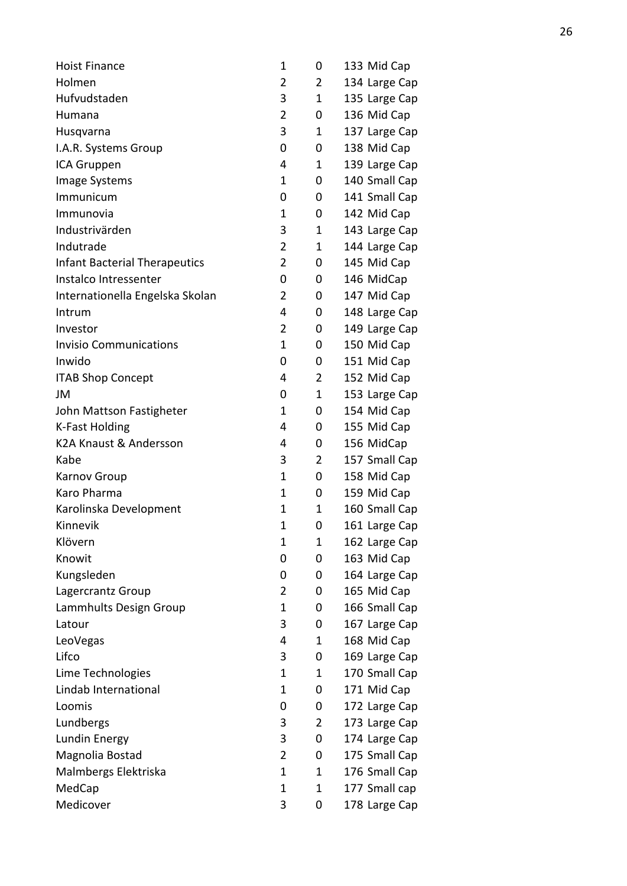| <b>Hoist Finance</b>                 | 1              | 0 | 133 Mid Cap   |
|--------------------------------------|----------------|---|---------------|
| Holmen                               | $\overline{2}$ | 2 | 134 Large Cap |
| Hufvudstaden                         | 3              | 1 | 135 Large Cap |
| Humana                               | $\overline{2}$ | 0 | 136 Mid Cap   |
| Husqvarna                            | 3              | 1 | 137 Large Cap |
| I.A.R. Systems Group                 | 0              | 0 | 138 Mid Cap   |
| ICA Gruppen                          | 4              | 1 | 139 Large Cap |
| <b>Image Systems</b>                 | 1              | 0 | 140 Small Cap |
| Immunicum                            | 0              | 0 | 141 Small Cap |
| Immunovia                            | 1              | 0 | 142 Mid Cap   |
| Industrivärden                       | 3              | 1 | 143 Large Cap |
| Indutrade                            | $\overline{2}$ | 1 | 144 Large Cap |
| <b>Infant Bacterial Therapeutics</b> | $\overline{2}$ | 0 | 145 Mid Cap   |
| Instalco Intressenter                | 0              | 0 | 146 MidCap    |
| Internationella Engelska Skolan      | $\overline{2}$ | 0 | 147 Mid Cap   |
| Intrum                               | 4              | 0 | 148 Large Cap |
| Investor                             | $\overline{2}$ | 0 | 149 Large Cap |
| <b>Invisio Communications</b>        | 1              | 0 | 150 Mid Cap   |
| Inwido                               | 0              | 0 | 151 Mid Cap   |
| <b>ITAB Shop Concept</b>             | 4              | 2 | 152 Mid Cap   |
| JM                                   | 0              | 1 | 153 Large Cap |
| John Mattson Fastigheter             | 1              | 0 | 154 Mid Cap   |
| <b>K-Fast Holding</b>                | 4              | 0 | 155 Mid Cap   |
| K2A Knaust & Andersson               | 4              | 0 | 156 MidCap    |
| Kabe                                 | 3              | 2 | 157 Small Cap |
| Karnov Group                         | 1              | 0 | 158 Mid Cap   |
| Karo Pharma                          | 1              | 0 | 159 Mid Cap   |
| Karolinska Development               | 1              | 1 | 160 Small Cap |
| Kinnevik                             | 1              | 0 | 161 Large Cap |
| Klövern                              | 1              | 1 | 162 Large Cap |
| Knowit                               | 0              | 0 | 163 Mid Cap   |
| Kungsleden                           | 0              | 0 | 164 Large Cap |
| Lagercrantz Group                    | 2              | 0 | 165 Mid Cap   |
| Lammhults Design Group               | 1              | 0 | 166 Small Cap |
| Latour                               | 3              | 0 | 167 Large Cap |
| LeoVegas                             | 4              | 1 | 168 Mid Cap   |
| Lifco                                | 3              | 0 | 169 Large Cap |
| Lime Technologies                    | 1              | 1 | 170 Small Cap |
| Lindab International                 | 1              | 0 | 171 Mid Cap   |
| Loomis                               | 0              | 0 | 172 Large Cap |
| Lundbergs                            | 3              | 2 | 173 Large Cap |
| Lundin Energy                        | 3              | 0 | 174 Large Cap |
| Magnolia Bostad                      | 2              | 0 | 175 Small Cap |
| Malmbergs Elektriska                 | 1              | 1 | 176 Small Cap |
| MedCap                               | $\mathbf 1$    | 1 | 177 Small cap |
| Medicover                            | 3              | 0 | 178 Large Cap |
|                                      |                |   |               |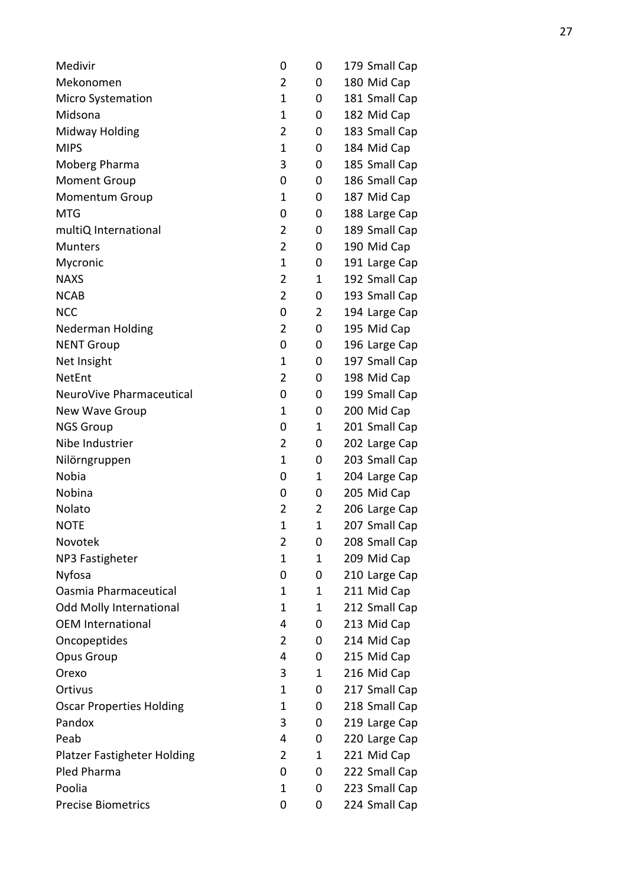| Medivir                                   | 0              | 0            | 179 Small Cap |
|-------------------------------------------|----------------|--------------|---------------|
| Mekonomen                                 | $\overline{2}$ | 0            | 180 Mid Cap   |
| <b>Micro Systemation</b>                  | 1              | 0            | 181 Small Cap |
| Midsona                                   | 1              | 0            | 182 Mid Cap   |
| Midway Holding                            | 2              | 0            | 183 Small Cap |
| <b>MIPS</b>                               | 1              | 0            | 184 Mid Cap   |
| Moberg Pharma                             | 3              | 0            | 185 Small Cap |
| <b>Moment Group</b>                       | 0              | 0            | 186 Small Cap |
| <b>Momentum Group</b>                     | 1              | 0            | 187 Mid Cap   |
| <b>MTG</b>                                | 0              | 0            | 188 Large Cap |
| multiQ International                      | 2              | 0            | 189 Small Cap |
| <b>Munters</b>                            | $\overline{2}$ | 0            | 190 Mid Cap   |
| Mycronic                                  | 1              | 0            | 191 Large Cap |
| <b>NAXS</b>                               | 2              | 1            | 192 Small Cap |
| <b>NCAB</b>                               | 2              | 0            | 193 Small Cap |
| <b>NCC</b>                                | 0              | 2            | 194 Large Cap |
| <b>Nederman Holding</b>                   | $\overline{2}$ | 0            | 195 Mid Cap   |
| <b>NENT Group</b>                         | 0              | 0            | 196 Large Cap |
| Net Insight                               | 1              | 0            | 197 Small Cap |
| <b>NetEnt</b>                             | 2              | 0            | 198 Mid Cap   |
| NeuroVive Pharmaceutical                  | 0              | 0            | 199 Small Cap |
| New Wave Group                            | 1              | 0            | 200 Mid Cap   |
| <b>NGS Group</b>                          | 0              | 1            | 201 Small Cap |
| Nibe Industrier                           | 2              | 0            | 202 Large Cap |
| Nilörngruppen                             | 1              | 0            | 203 Small Cap |
| <b>Nobia</b>                              | 0              | 1            | 204 Large Cap |
| Nobina                                    | 0              | 0            | 205 Mid Cap   |
| Nolato                                    | $\overline{2}$ | 2            | 206 Large Cap |
| <b>NOTE</b>                               | 1              | $\mathbf{1}$ | 207 Small Cap |
| Novotek                                   | 2              | 0            | 208 Small Cap |
| NP3 Fastigheter                           | 1              | 1            | 209 Mid Cap   |
| Nyfosa                                    | 0              | 0            | 210 Large Cap |
| Oasmia Pharmaceutical                     | 1              | 1            | 211 Mid Cap   |
| <b>Odd Molly International</b>            | 1              | 1            | 212 Small Cap |
| <b>OEM International</b>                  | 4              | 0            | 213 Mid Cap   |
| Oncopeptides                              | $\overline{2}$ | 0            | 214 Mid Cap   |
| Opus Group                                | 4              | 0            | 215 Mid Cap   |
| Orexo                                     | 3              | 1            | 216 Mid Cap   |
| Ortivus                                   | 1              | 0            | 217 Small Cap |
|                                           | 1              |              | 218 Small Cap |
| <b>Oscar Properties Holding</b><br>Pandox | 3              | 0<br>0       |               |
|                                           |                |              | 219 Large Cap |
| Peab                                      | 4              | 0            | 220 Large Cap |
| <b>Platzer Fastigheter Holding</b>        | 2              | 1            | 221 Mid Cap   |
| Pled Pharma                               | 0              | 0            | 222 Small Cap |
| Poolia                                    | 1              | 0            | 223 Small Cap |
| <b>Precise Biometrics</b>                 | 0              | 0            | 224 Small Cap |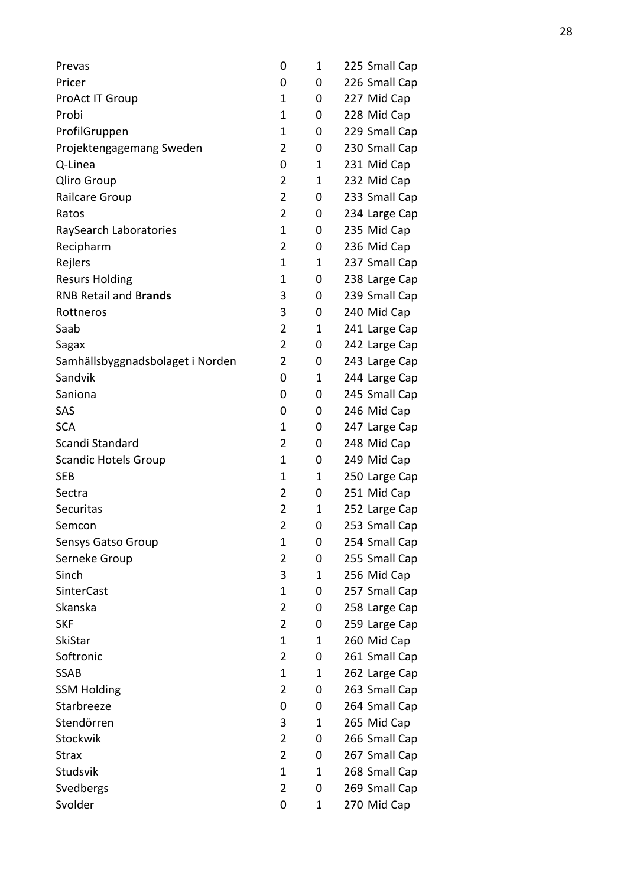| Prevas                           | 0              | 1 | 225 Small Cap |
|----------------------------------|----------------|---|---------------|
| Pricer                           | 0              | 0 | 226 Small Cap |
| ProAct IT Group                  | 1              | 0 | 227 Mid Cap   |
| Probi                            | 1              | 0 | 228 Mid Cap   |
| ProfilGruppen                    | 1              | 0 | 229 Small Cap |
| Projektengagemang Sweden         | 2              | 0 | 230 Small Cap |
| Q-Linea                          | 0              | 1 | 231 Mid Cap   |
| <b>Qliro Group</b>               | $\overline{2}$ | 1 | 232 Mid Cap   |
| Railcare Group                   | $\overline{2}$ | 0 | 233 Small Cap |
| Ratos                            | $\overline{2}$ | 0 | 234 Large Cap |
| RaySearch Laboratories           | 1              | 0 | 235 Mid Cap   |
| Recipharm                        | $\overline{2}$ | 0 | 236 Mid Cap   |
| Rejlers                          | $\mathbf 1$    | 1 | 237 Small Cap |
| <b>Resurs Holding</b>            | 1              | 0 | 238 Large Cap |
| <b>RNB Retail and Brands</b>     | 3              | 0 | 239 Small Cap |
| Rottneros                        | 3              | 0 | 240 Mid Cap   |
| Saab                             | $\overline{2}$ | 1 | 241 Large Cap |
| Sagax                            | $\overline{2}$ | 0 | 242 Large Cap |
| Samhällsbyggnadsbolaget i Norden | $\overline{2}$ | 0 | 243 Large Cap |
| Sandvik                          | 0              | 1 | 244 Large Cap |
| Saniona                          | 0              | 0 | 245 Small Cap |
| SAS                              | 0              | 0 | 246 Mid Cap   |
| <b>SCA</b>                       | 1              | 0 | 247 Large Cap |
| Scandi Standard                  | 2              | 0 | 248 Mid Cap   |
| <b>Scandic Hotels Group</b>      | 1              | 0 | 249 Mid Cap   |
| <b>SEB</b>                       | 1              | 1 | 250 Large Cap |
| Sectra                           | $\overline{2}$ | 0 | 251 Mid Cap   |
| Securitas                        | $\overline{2}$ | 1 | 252 Large Cap |
| Semcon                           | $\overline{2}$ | 0 | 253 Small Cap |
| Sensys Gatso Group               | 1              | 0 | 254 Small Cap |
| Serneke Group                    | $\overline{2}$ | 0 | 255 Small Cap |
| Sinch                            | 3              | 1 | 256 Mid Cap   |
| <b>SinterCast</b>                | 1              | 0 | 257 Small Cap |
| Skanska                          | 2              | 0 | 258 Large Cap |
| <b>SKF</b>                       | $\overline{2}$ | 0 | 259 Large Cap |
| <b>SkiStar</b>                   | 1              | 1 | 260 Mid Cap   |
| Softronic                        | $\overline{2}$ | 0 | 261 Small Cap |
| <b>SSAB</b>                      | $\mathbf 1$    | 1 | 262 Large Cap |
| <b>SSM Holding</b>               | $\overline{2}$ | 0 | 263 Small Cap |
| Starbreeze                       | 0              | 0 | 264 Small Cap |
| Stendörren                       | 3              | 1 | 265 Mid Cap   |
| Stockwik                         | $\overline{2}$ | 0 | 266 Small Cap |
| <b>Strax</b>                     | $\overline{2}$ | 0 | 267 Small Cap |
| Studsvik                         | $\mathbf 1$    | 1 | 268 Small Cap |
| Svedbergs                        | $\overline{2}$ | 0 | 269 Small Cap |
| Svolder                          | 0              | 1 | 270 Mid Cap   |